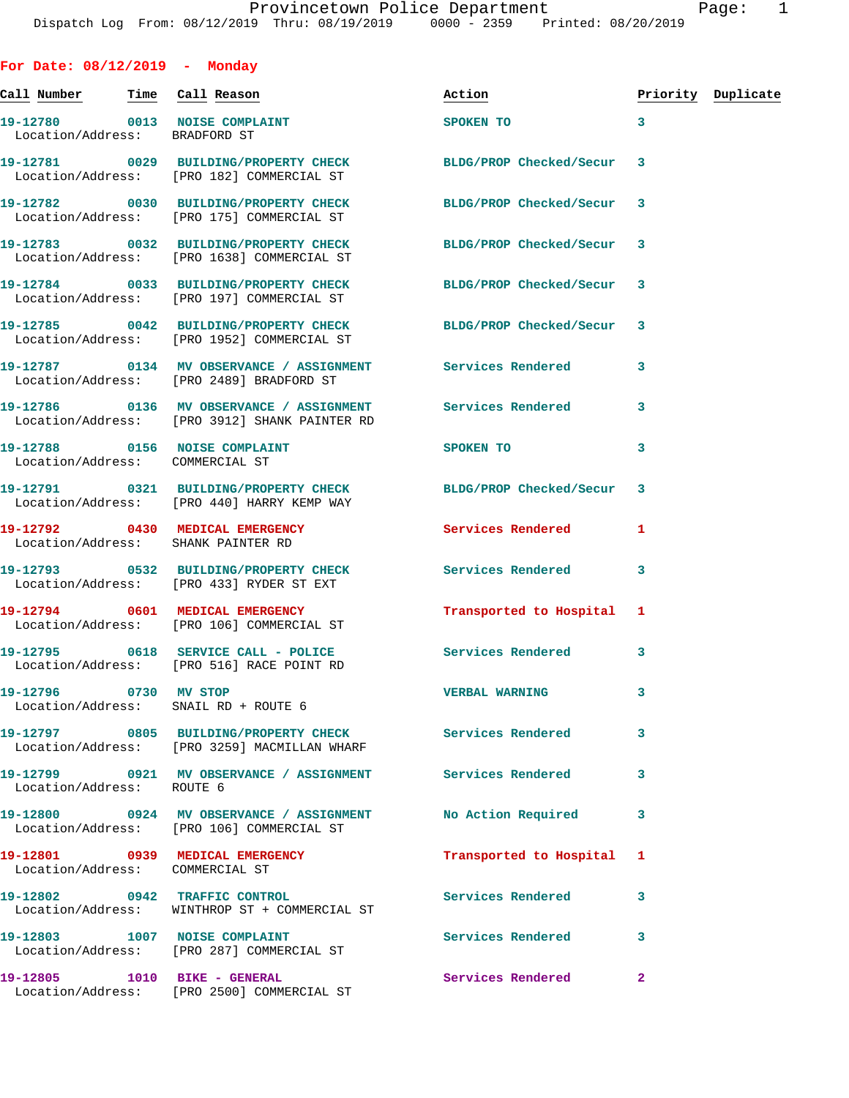| For Date: 08/12/2019 - Monday   |                                                                                                              |                          |                         |                    |
|---------------------------------|--------------------------------------------------------------------------------------------------------------|--------------------------|-------------------------|--------------------|
|                                 |                                                                                                              | Action                   |                         | Priority Duplicate |
| Location/Address: BRADFORD ST   | 19-12780 0013 NOISE COMPLAINT                                                                                | SPOKEN TO                | $\overline{\mathbf{3}}$ |                    |
|                                 | 19-12781 0029 BUILDING/PROPERTY CHECK<br>Location/Address: [PRO 182] COMMERCIAL ST                           | BLDG/PROP Checked/Secur  | 3                       |                    |
|                                 | 19-12782 0030 BUILDING/PROPERTY CHECK<br>Location/Address: [PRO 175] COMMERCIAL ST                           | BLDG/PROP Checked/Secur  | 3                       |                    |
|                                 | 19-12783 0032 BUILDING/PROPERTY CHECK<br>Location/Address: [PRO 1638] COMMERCIAL ST                          | BLDG/PROP Checked/Secur  | 3                       |                    |
|                                 | 19-12784 0033 BUILDING/PROPERTY CHECK<br>Location/Address: [PRO 197] COMMERCIAL ST                           | BLDG/PROP Checked/Secur  | 3                       |                    |
|                                 | 19-12785 0042 BUILDING/PROPERTY CHECK<br>Location/Address: [PRO 1952] COMMERCIAL ST                          | BLDG/PROP Checked/Secur  | 3                       |                    |
|                                 | 19-12787 0134 MV OBSERVANCE / ASSIGNMENT Services Rendered<br>Location/Address: [PRO 2489] BRADFORD ST       |                          | 3                       |                    |
|                                 | 19-12786  0136 MV OBSERVANCE / ASSIGNMENT Services Rendered<br>Location/Address: [PRO 3912] SHANK PAINTER RD |                          | 3                       |                    |
| Location/Address: COMMERCIAL ST | 19-12788 0156 NOISE COMPLAINT                                                                                | SPOKEN TO                | 3                       |                    |
|                                 | 19-12791 0321 BUILDING/PROPERTY CHECK BLDG/PROP Checked/Secur<br>Location/Address: [PRO 440] HARRY KEMP WAY  |                          | 3                       |                    |
|                                 | 19-12792 0430 MEDICAL EMERGENCY Services Rendered<br>Location/Address: SHANK PAINTER RD                      |                          | 1                       |                    |
|                                 | 19-12793 0532 BUILDING/PROPERTY CHECK Services Rendered<br>Location/Address: [PRO 433] RYDER ST EXT          |                          | 3                       |                    |
|                                 | 19-12794 0601 MEDICAL EMERGENCY<br>Location/Address: [PRO 106] COMMERCIAL ST                                 | Transported to Hospital  | 1                       |                    |
|                                 | 19-12795 0618 SERVICE CALL - POLICE<br>Location/Address: [PRO 516] RACE POINT RD                             | Services Rendered        | 3                       |                    |
| 19-12796 0730 MV STOP           | Location/Address: SNAIL RD + ROUTE 6                                                                         | <b>VERBAL WARNING</b>    | 3                       |                    |
|                                 | 19-12797 0805 BUILDING/PROPERTY CHECK<br>Location/Address: [PRO 3259] MACMILLAN WHARF                        | <b>Services Rendered</b> | 3                       |                    |
| Location/Address: ROUTE 6       | 19-12799    0921 MV OBSERVANCE / ASSIGNMENT    Services Rendered                                             |                          | 3                       |                    |
|                                 | 19-12800 0924 MV OBSERVANCE / ASSIGNMENT<br>Location/Address: [PRO 106] COMMERCIAL ST                        | No Action Required       | 3                       |                    |
|                                 | 19-12801 0939 MEDICAL EMERGENCY<br>Location/Address: COMMERCIAL ST                                           | Transported to Hospital  | 1                       |                    |
|                                 | 19-12802 0942 TRAFFIC CONTROL<br>Location/Address: WINTHROP ST + COMMERCIAL ST                               | Services Rendered        | 3                       |                    |
|                                 | 19-12803 1007 NOISE COMPLAINT<br>Location/Address: [PRO 287] COMMERCIAL ST                                   | <b>Services Rendered</b> | 3                       |                    |
|                                 | 19-12805 1010 BIKE - GENERAL<br>Location/Address: [PRO 2500] COMMERCIAL ST                                   | Services Rendered        | $\mathbf{2}$            |                    |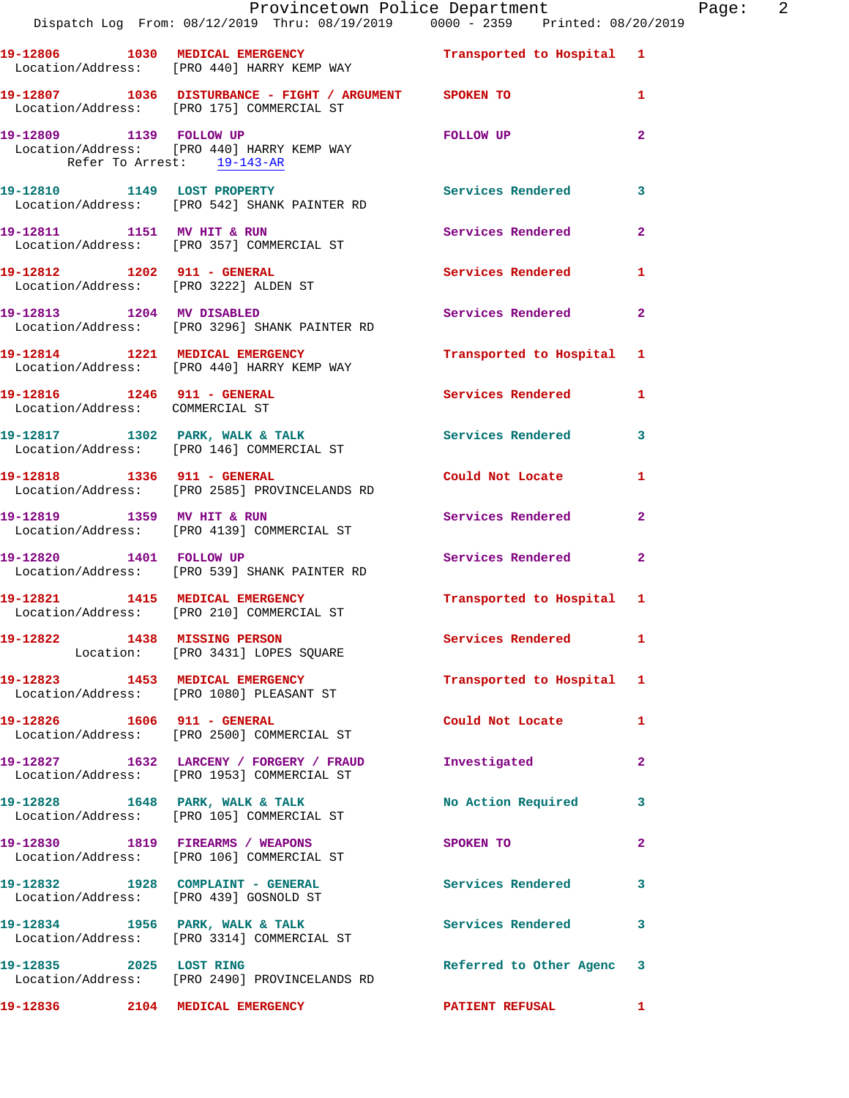|                                   | Dispatch Log From: 08/12/2019 Thru: 08/19/2019 0000 - 2359 Printed: 08/20/2019                            | Provincetown Police Department The Rage: 2 |              |  |
|-----------------------------------|-----------------------------------------------------------------------------------------------------------|--------------------------------------------|--------------|--|
|                                   | 19-12806 1030 MEDICAL EMERGENCY 1 Transported to Hospital 1<br>Location/Address: [PRO 440] HARRY KEMP WAY |                                            |              |  |
|                                   | 19-12807 1036 DISTURBANCE - FIGHT / ARGUMENT SPOKEN TO<br>Location/Address: [PRO 175] COMMERCIAL ST       |                                            | $\mathbf{1}$ |  |
| Refer To Arrest: 19-143-AR        | 19-12809 1139 FOLLOW UP<br>Location/Address: [PRO 440] HARRY KEMP WAY                                     | <b>FOLLOW UP</b>                           | $\mathbf{2}$ |  |
|                                   | 19-12810 1149 LOST PROPERTY<br>Location/Address: [PRO 542] SHANK PAINTER RD                               | <b>Services Rendered</b>                   | 3            |  |
|                                   | 19-12811 1151 MV HIT & RUN<br>Location/Address: [PRO 357] COMMERCIAL ST                                   | Services Rendered                          | $\mathbf{2}$ |  |
|                                   | 19-12812 1202 911 - GENERAL<br>Location/Address: [PRO 3222] ALDEN ST                                      | Services Rendered                          | 1            |  |
|                                   | 19-12813 1204 MV DISABLED<br>Location/Address: [PRO 3296] SHANK PAINTER RD                                | Services Rendered 2                        |              |  |
|                                   | 19-12814 1221 MEDICAL EMERGENCY<br>Location/Address: [PRO 440] HARRY KEMP WAY                             | Transported to Hospital 1                  |              |  |
| Location/Address: COMMERCIAL ST   |                                                                                                           | Services Rendered 1                        |              |  |
|                                   | 19-12817 1302 PARK, WALK & TALK 1999 Services Rendered<br>Location/Address: [PRO 146] COMMERCIAL ST       |                                            | 3            |  |
| 19-12818 1336 911 - GENERAL       | Location/Address: [PRO 2585] PROVINCELANDS RD                                                             | Could Not Locate                           | 1            |  |
|                                   | 19-12819 1359 MV HIT & RUN<br>Location/Address: [PRO 4139] COMMERCIAL ST                                  | Services Rendered                          | $\mathbf{2}$ |  |
|                                   | 19-12820 1401 FOLLOW UP<br>Location/Address: [PRO 539] SHANK PAINTER RD                                   | Services Rendered                          | $\mathbf{2}$ |  |
|                                   | 19-12821 1415 MEDICAL EMERGENCY<br>Location/Address: [PRO 210] COMMERCIAL ST                              | Transported to Hospital 1                  |              |  |
|                                   | 19-12822 1438 MISSING PERSON<br>Location: [PRO 3431] LOPES SQUARE                                         | Services Rendered 1                        |              |  |
|                                   | 19-12823 1453 MEDICAL EMERGENCY<br>Location/Address: [PRO 1080] PLEASANT ST                               | Transported to Hospital 1                  |              |  |
| 19-12826    1606    911 - GENERAL | Location/Address: [PRO 2500] COMMERCIAL ST                                                                | Could Not Locate 1                         |              |  |
|                                   | 19-12827 1632 LARCENY / FORGERY / FRAUD<br>Location/Address: [PRO 1953] COMMERCIAL ST                     | Investigated                               | $\mathbf{2}$ |  |
|                                   | 19-12828 1648 PARK, WALK & TALK<br>Location/Address: [PRO 105] COMMERCIAL ST                              | No Action Required                         | 3            |  |
|                                   | 19-12830 1819 FIREARMS / WEAPONS<br>Location/Address: [PRO 106] COMMERCIAL ST                             | SPOKEN TO                                  | 2            |  |
|                                   | 19-12832 1928 COMPLAINT - GENERAL<br>Location/Address: [PRO 439] GOSNOLD ST                               | Services Rendered                          | 3            |  |
|                                   | 19-12834 1956 PARK, WALK & TALK<br>Location/Address: [PRO 3314] COMMERCIAL ST                             | Services Rendered                          | 3            |  |
| 19-12835 2025 LOST RING           | Location/Address: [PRO 2490] PROVINCELANDS RD                                                             | Referred to Other Agenc 3                  |              |  |

**19-12836 2104 MEDICAL EMERGENCY PATIENT REFUSAL 1**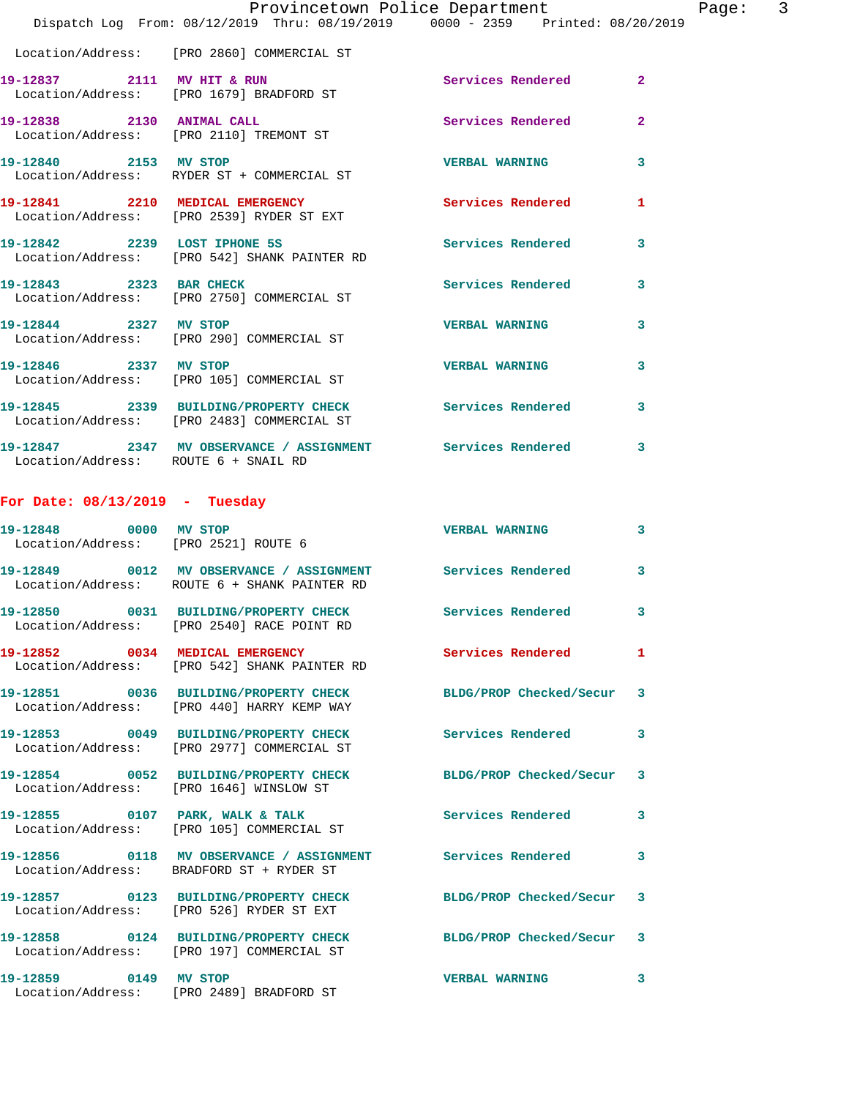|                                      | Provincetown Police Department Page: 3<br>Dispatch Log From: 08/12/2019 Thru: 08/19/2019 0000 - 2359 Printed: 08/20/2019 |                          |              |
|--------------------------------------|--------------------------------------------------------------------------------------------------------------------------|--------------------------|--------------|
|                                      | Location/Address: [PRO 2860] COMMERCIAL ST                                                                               |                          |              |
|                                      | 19-12837 2111 MV HIT & RUN<br>Location/Address: [PRO 1679] BRADFORD ST                                                   | Services Rendered 2      |              |
|                                      | 19-12838 2130 ANIMAL CALL Services Rendered 2<br>Location/Address: [PRO 2110] TREMONT ST                                 |                          |              |
|                                      | 19-12840 2153 MV STOP<br>Location/Address: RYDER ST + COMMERCIAL ST                                                      | <b>VERBAL WARNING</b>    | 3            |
|                                      | 19-12841 2210 MEDICAL EMERGENCY Services Rendered<br>Location/Address: [PRO 2539] RYDER ST EXT                           |                          | $\mathbf{1}$ |
|                                      | 19-12842 2239 LOST IPHONE 5S<br>Location/Address: [PRO 542] SHANK PAINTER RD                                             | <b>Services Rendered</b> | $\mathbf{3}$ |
|                                      | 19-12843 2323 BAR CHECK<br>Location/Address: [PRO 2750] COMMERCIAL ST                                                    | Services Rendered 3      |              |
|                                      | 19-12844 2327 MV STOP<br>Location/Address: [PRO 290] COMMERCIAL ST                                                       | VERBAL WARNING 3         |              |
|                                      | 19-12846 2337 MV STOP<br>Location/Address: [PRO 105] COMMERCIAL ST                                                       | <b>VERBAL WARNING</b>    | 3            |
|                                      | 19-12845 2339 BUILDING/PROPERTY CHECK Services Rendered 3<br>Location/Address: [PRO 2483] COMMERCIAL ST                  |                          |              |
| Location/Address: ROUTE 6 + SNAIL RD | 19-12847 2347 MV OBSERVANCE / ASSIGNMENT Services Rendered 3                                                             |                          |              |
| For Date: $08/13/2019$ - Tuesday     |                                                                                                                          |                          |              |
| Location/Address: [PRO 2521] ROUTE 6 | 19-12848 0000 MV STOP                                                                                                    | <b>VERBAL WARNING</b>    | 3            |
|                                      | 19-12849 0012 MV OBSERVANCE / ASSIGNMENT Services Rendered 3<br>Location/Address: ROUTE 6 + SHANK PAINTER RD             |                          |              |
|                                      | 19-12850 0031 BUILDING/PROPERTY CHECK<br>Location/Address: [PRO 2540] RACE POINT RD                                      | <b>Services Rendered</b> | 3            |
|                                      | 19-12852 0034 MEDICAL EMERGENCY<br>Location/Address: [PRO 542] SHANK PAINTER RD                                          | <b>Services Rendered</b> | $\mathbf{1}$ |
|                                      | 19-12851 0036 BUILDING/PROPERTY CHECK BLDG/PROP Checked/Secur 3<br>Location/Address: [PRO 440] HARRY KEMP WAY            |                          |              |
|                                      | 19-12853 0049 BUILDING/PROPERTY CHECK Services Rendered<br>Location/Address: [PRO 2977] COMMERCIAL ST                    |                          | 3            |
|                                      | 19-12854 0052 BUILDING/PROPERTY CHECK BLDG/PROP Checked/Secur 3<br>Location/Address: [PRO 1646] WINSLOW ST               |                          |              |
|                                      | 19-12855 0107 PARK, WALK & TALK<br>Location/Address: [PRO 105] COMMERCIAL ST                                             | Services Rendered 3      |              |
|                                      | 19-12856 0118 MV OBSERVANCE / ASSIGNMENT Services Rendered<br>Location/Address: BRADFORD ST + RYDER ST                   |                          | 3            |
|                                      | 19-12857 0123 BUILDING/PROPERTY CHECK BLDG/PROP Checked/Secur 3<br>Location/Address: [PRO 526] RYDER ST EXT              |                          |              |
|                                      | 19-12858 0124 BUILDING/PROPERTY CHECK BLDG/PROP Checked/Secur 3<br>Location/Address: [PRO 197] COMMERCIAL ST             |                          |              |
| 19-12859 0149 MV STOP                | Location/Address: [PRO 2489] BRADFORD ST                                                                                 | VERBAL WARNING 3         |              |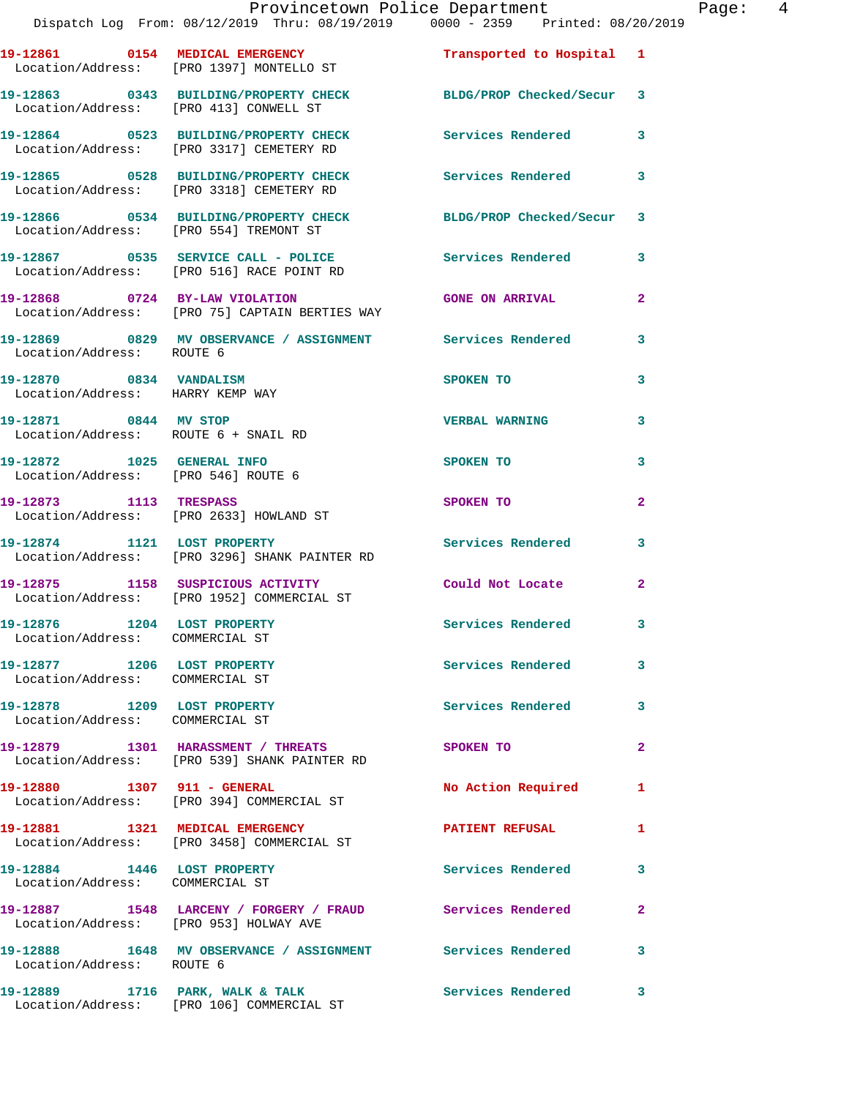|                                                                | Provincetown Police Department<br>Dispatch Log From: 08/12/2019 Thru: 08/19/2019                0000 - 2359   Printed: 08/20/2019 |                          | Page:  4                |
|----------------------------------------------------------------|-----------------------------------------------------------------------------------------------------------------------------------|--------------------------|-------------------------|
|                                                                | Location/Address: [PRO 1397] MONTELLO ST                                                                                          |                          |                         |
|                                                                | 19-12863 0343 BUILDING/PROPERTY CHECK BLDG/PROP Checked/Secur 3<br>Location/Address: [PRO 413] CONWELL ST                         |                          |                         |
|                                                                | 19-12864 0523 BUILDING/PROPERTY CHECK Services Rendered 3<br>Location/Address: [PRO 3317] CEMETERY RD                             |                          |                         |
|                                                                | 19-12865 0528 BUILDING/PROPERTY CHECK Services Rendered 3<br>Location/Address: [PRO 3318] CEMETERY RD                             |                          |                         |
|                                                                | 19-12866 0534 BUILDING/PROPERTY CHECK BLDG/PROP Checked/Secur 3<br>Location/Address: [PRO 554] TREMONT ST                         |                          |                         |
|                                                                | 19-12867 0535 SERVICE CALL - POLICE<br>Location/Address: [PRO 516] RACE POINT RD                                                  | Services Rendered 3      |                         |
|                                                                | 19-12868 0724 BY-LAW VIOLATION GONE ON ARRIVAL<br>Location/Address: [PRO 75] CAPTAIN BERTIES WAY                                  |                          | $\overline{a}$          |
| Location/Address: ROUTE 6                                      | 19-12869 6829 MV OBSERVANCE / ASSIGNMENT Services Rendered 3                                                                      |                          |                         |
| 19-12870 0834 VANDALISM<br>Location/Address: HARRY KEMP WAY    |                                                                                                                                   | SPOKEN TO                | 3                       |
| 19-12871 0844 MV STOP<br>Location/Address: ROUTE 6 + SNAIL RD  |                                                                                                                                   | <b>VERBAL WARNING</b>    | 3                       |
|                                                                | 19-12872 1025 GENERAL INFO<br>Location/Address: [PRO 546] ROUTE 6                                                                 | SPOKEN TO                | 3                       |
| 19-12873 1113 TRESPASS                                         | Location/Address: [PRO 2633] HOWLAND ST                                                                                           | <b>SPOKEN TO</b>         | $\overline{a}$          |
|                                                                | 19-12874 1121 LOST PROPERTY<br>Location/Address: [PRO 3296] SHANK PAINTER RD                                                      | Services Rendered 3      |                         |
|                                                                | 19-12875 1158 SUSPICIOUS ACTIVITY Could Not Locate<br>Location/Address: [PRO 1952] COMMERCIAL ST                                  |                          | $\mathbf{2}$            |
| 19-12876 1204 LOST PROPERTY<br>Location/Address: COMMERCIAL ST |                                                                                                                                   | <b>Services Rendered</b> | 3                       |
| 19-12877 1206 LOST PROPERTY<br>Location/Address: COMMERCIAL ST |                                                                                                                                   | <b>Services Rendered</b> | 3                       |
| 19-12878 1209 LOST PROPERTY<br>Location/Address: COMMERCIAL ST |                                                                                                                                   | <b>Services Rendered</b> | 3                       |
|                                                                | 19-12879 1301 HARASSMENT / THREATS<br>Location/Address: [PRO 539] SHANK PAINTER RD                                                | SPOKEN TO                | $\overline{\mathbf{2}}$ |
|                                                                | 19-12880 1307 911 - GENERAL<br>Location/Address: [PRO 394] COMMERCIAL ST                                                          | No Action Required       | 1                       |
|                                                                | 19-12881 1321 MEDICAL EMERGENCY<br>Location/Address: [PRO 3458] COMMERCIAL ST                                                     | <b>PATIENT REFUSAL</b>   | 1                       |
| 19-12884 1446 LOST PROPERTY<br>Location/Address: COMMERCIAL ST |                                                                                                                                   | <b>Services Rendered</b> | 3                       |
|                                                                | 19-12887 1548 LARCENY / FORGERY / FRAUD Services Rendered<br>Location/Address: [PRO 953] HOLWAY AVE                               |                          | $\overline{2}$          |
| Location/Address: ROUTE 6                                      | 19-12888 1648 MV OBSERVANCE / ASSIGNMENT Services Rendered                                                                        |                          | 3                       |
|                                                                |                                                                                                                                   |                          |                         |

Location/Address: [PRO 106] COMMERCIAL ST

**19-12889 1716 PARK, WALK & TALK Services Rendered 3**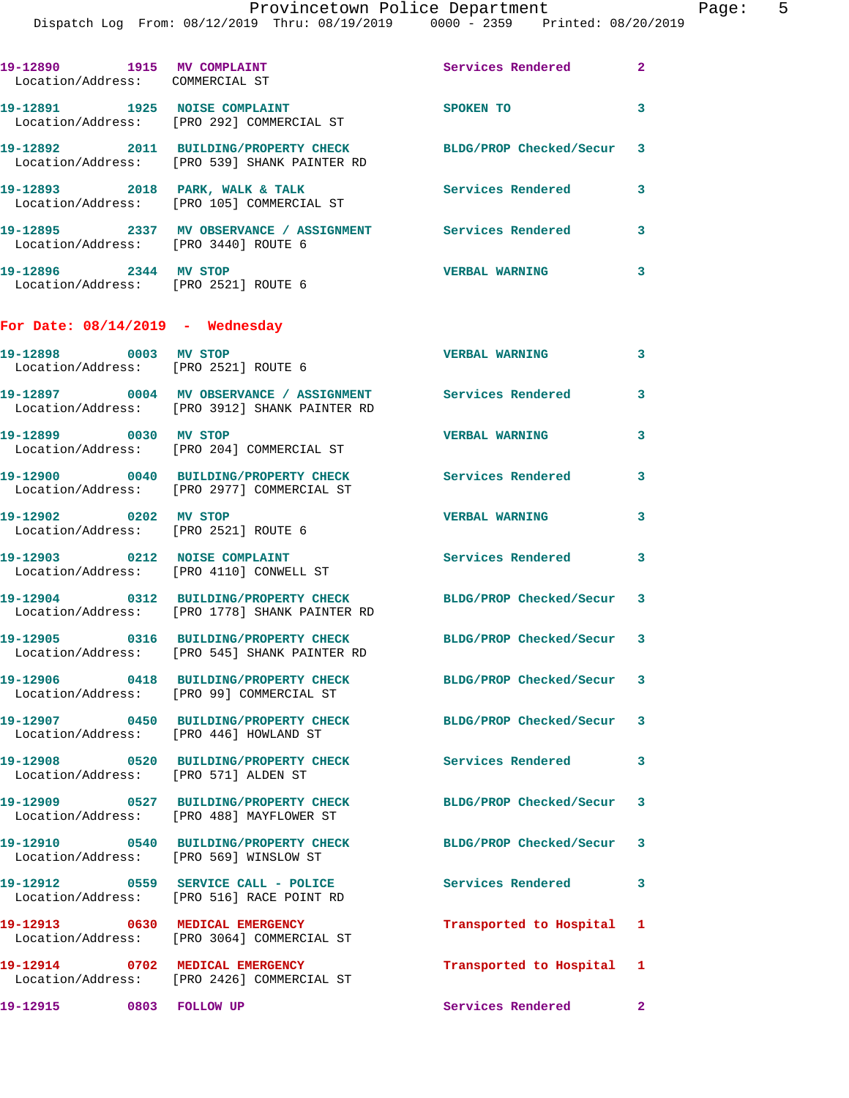|                                                               | Dispatch Log From: 08/12/2019 Thru: 08/19/2019 0000 - 2359 Printed: 08/20/2019                                   |                           |                |
|---------------------------------------------------------------|------------------------------------------------------------------------------------------------------------------|---------------------------|----------------|
| 19-12890 1915 MV COMPLAINT<br>Location/Address: COMMERCIAL ST |                                                                                                                  | <b>Services Rendered</b>  | $\overline{2}$ |
|                                                               | 19-12891 1925 NOISE COMPLAINT<br>Location/Address: [PRO 292] COMMERCIAL ST                                       | <b>SPOKEN TO</b>          | 3              |
|                                                               | 19-12892 2011 BUILDING/PROPERTY CHECK<br>Location/Address: [PRO 539] SHANK PAINTER RD                            | BLDG/PROP Checked/Secur   | 3              |
|                                                               | 19-12893 2018 PARK, WALK & TALK<br>Location/Address: [PRO 105] COMMERCIAL ST                                     | <b>Services Rendered</b>  | 3              |
| Location/Address: [PRO 3440] ROUTE 6                          | 19-12895 2337 MV OBSERVANCE / ASSIGNMENT Services Rendered                                                       |                           | 3              |
| 19-12896 2344 MV STOP<br>Location/Address: [PRO 2521] ROUTE 6 |                                                                                                                  | <b>VERBAL WARNING</b>     | 3              |
| For Date: $08/14/2019$ - Wednesday                            |                                                                                                                  |                           |                |
| 19-12898 0003 MV STOP<br>Location/Address: [PRO 2521] ROUTE 6 |                                                                                                                  | <b>VERBAL WARNING</b>     | 3              |
|                                                               | 19-12897 0004 MV OBSERVANCE / ASSIGNMENT Services Rendered<br>Location/Address: [PRO 3912] SHANK PAINTER RD      |                           | 3              |
| 19-12899 0030 MV STOP                                         | Location/Address: [PRO 204] COMMERCIAL ST                                                                        | <b>VERBAL WARNING</b>     | 3              |
|                                                               | 19-12900 0040 BUILDING/PROPERTY CHECK<br>Location/Address: [PRO 2977] COMMERCIAL ST                              | Services Rendered         | 3              |
| 19-12902 0202 MV STOP<br>Location/Address: [PRO 2521] ROUTE 6 |                                                                                                                  | <b>VERBAL WARNING</b>     | 3              |
| 19-12903 0212 NOISE COMPLAINT                                 | Location/Address: [PRO 4110] CONWELL ST                                                                          | <b>Services Rendered</b>  | 3              |
|                                                               | 19-12904 0312 BUILDING/PROPERTY CHECK BLDG/PROP Checked/Secur 3<br>Location/Address: [PRO 1778] SHANK PAINTER RD |                           |                |
|                                                               | Location/Address: [PRO 545] SHANK PAINTER RD                                                                     | BLDG/PROP Checked/Secur 3 |                |
|                                                               | 19-12906 0418 BUILDING/PROPERTY CHECK BLDG/PROP Checked/Secur<br>Location/Address: [PRO 99] COMMERCIAL ST        |                           | 3              |
| Location/Address: [PRO 446] HOWLAND ST                        | 19-12907 0450 BUILDING/PROPERTY CHECK BLDG/PROP Checked/Secur                                                    |                           | 3              |
| Location/Address: [PRO 571] ALDEN ST                          | 19-12908 0520 BUILDING/PROPERTY CHECK                                                                            | Services Rendered         | 3              |
|                                                               | 19-12909 0527 BUILDING/PROPERTY CHECK BLDG/PROP Checked/Secur<br>Location/Address: [PRO 488] MAYFLOWER ST        |                           | 3              |
| Location/Address: [PRO 569] WINSLOW ST                        | 19-12910 0540 BUILDING/PROPERTY CHECK                                                                            | BLDG/PROP Checked/Secur   | 3              |
|                                                               | 19-12912 0559 SERVICE CALL - POLICE<br>Location/Address: [PRO 516] RACE POINT RD                                 | <b>Services Rendered</b>  | 3              |
|                                                               | 19-12913 0630 MEDICAL EMERGENCY<br>Location/Address: [PRO 3064] COMMERCIAL ST                                    | Transported to Hospital   | 1              |
|                                                               | 19-12914 0702 MEDICAL EMERGENCY<br>Location/Address: [PRO 2426] COMMERCIAL ST                                    | Transported to Hospital   | 1              |
| 19-12915 0803 FOLLOW UP                                       |                                                                                                                  | Services Rendered         | $\mathbf{2}$   |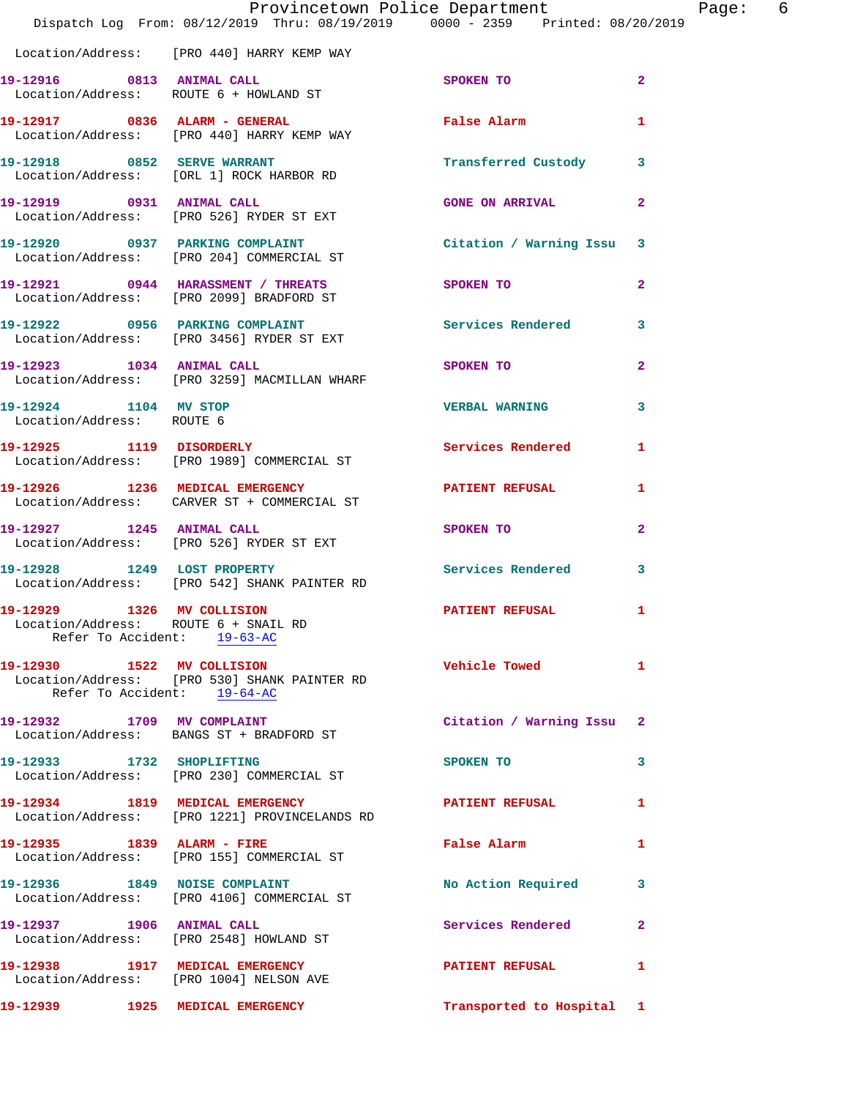|                                                                                                   | Provincetown Police Department<br>Dispatch Log From: 08/12/2019 Thru: 08/19/2019 0000 - 2359 Printed: 08/20/2019 |                           |              |
|---------------------------------------------------------------------------------------------------|------------------------------------------------------------------------------------------------------------------|---------------------------|--------------|
|                                                                                                   | Location/Address: [PRO 440] HARRY KEMP WAY                                                                       |                           |              |
| 19-12916 0813 ANIMAL CALL<br>Location/Address: ROUTE 6 + HOWLAND ST                               |                                                                                                                  | SPOKEN TO                 | $\mathbf{2}$ |
|                                                                                                   | 19-12917 0836 ALARM - GENERAL<br>Location/Address: [PRO 440] HARRY KEMP WAY                                      | False Alarm               | 1            |
|                                                                                                   | 19-12918 0852 SERVE WARRANT<br>Location/Address: [ORL 1] ROCK HARBOR RD                                          | Transferred Custody       | 3            |
|                                                                                                   | 19-12919 0931 ANIMAL CALL<br>Location/Address: [PRO 526] RYDER ST EXT                                            | <b>GONE ON ARRIVAL</b>    | $\mathbf{2}$ |
|                                                                                                   | 19-12920 0937 PARKING COMPLAINT<br>Location/Address: [PRO 204] COMMERCIAL ST                                     | Citation / Warning Issu   | 3            |
|                                                                                                   | 19-12921 0944 HARASSMENT / THREATS<br>Location/Address: [PRO 2099] BRADFORD ST                                   | SPOKEN TO                 | $\mathbf{2}$ |
|                                                                                                   | 19-12922 0956 PARKING COMPLAINT<br>Location/Address: [PRO 3456] RYDER ST EXT                                     | Services Rendered         | 3            |
|                                                                                                   | 19-12923 1034 ANIMAL CALL<br>Location/Address: [PRO 3259] MACMILLAN WHARF                                        | SPOKEN TO                 | $\mathbf{2}$ |
| 19-12924 1104 MV STOP<br>Location/Address: ROUTE 6                                                |                                                                                                                  | <b>VERBAL WARNING</b>     | 3            |
|                                                                                                   | 19-12925 1119 DISORDERLY<br>Location/Address: [PRO 1989] COMMERCIAL ST                                           | Services Rendered         | 1            |
|                                                                                                   | 19-12926 1236 MEDICAL EMERGENCY<br>Location/Address: CARVER ST + COMMERCIAL ST                                   | <b>PATIENT REFUSAL</b>    | 1            |
|                                                                                                   | 19-12927 1245 ANIMAL CALL<br>Location/Address: [PRO 526] RYDER ST EXT                                            | SPOKEN TO                 | $\mathbf{2}$ |
|                                                                                                   | 19-12928 1249 LOST PROPERTY<br>Location/Address: [PRO 542] SHANK PAINTER RD                                      | Services Rendered         | 3            |
| 19-12929 1326 MV COLLISION<br>Location/Address: ROUTE 6 + SNAIL RD<br>Refer To Accident: 19-63-AC |                                                                                                                  | <b>PATIENT REFUSAL</b>    | 1            |
| 19-12930 1522 MV COLLISION<br>Refer To Accident: 19-64-AC                                         | Location/Address: [PRO 530] SHANK PAINTER RD                                                                     | <b>Vehicle Towed</b>      | 1            |
|                                                                                                   | 19-12932 1709 MV COMPLAINT<br>Location/Address: BANGS ST + BRADFORD ST                                           | Citation / Warning Issu   | $\mathbf{2}$ |
| 19-12933 1732 SHOPLIFTING                                                                         | Location/Address: [PRO 230] COMMERCIAL ST                                                                        | SPOKEN TO                 | 3            |
|                                                                                                   | 19-12934 1819 MEDICAL EMERGENCY<br>Location/Address: [PRO 1221] PROVINCELANDS RD                                 | <b>PATIENT REFUSAL</b>    | 1            |
| 19-12935 1839 ALARM - FIRE                                                                        | Location/Address: [PRO 155] COMMERCIAL ST                                                                        | False Alarm               | 1            |
|                                                                                                   | 19-12936 1849 NOISE COMPLAINT<br>Location/Address: [PRO 4106] COMMERCIAL ST                                      | No Action Required        | 3            |
| 19-12937 1906 ANIMAL CALL                                                                         | Location/Address: [PRO 2548] HOWLAND ST                                                                          | Services Rendered         | $\mathbf{2}$ |
|                                                                                                   | 19-12938 1917 MEDICAL EMERGENCY<br>Location/Address: [PRO 1004] NELSON AVE                                       | <b>PATIENT REFUSAL</b>    | 1            |
| 19-12939 1925 MEDICAL EMERGENCY                                                                   |                                                                                                                  | Transported to Hospital 1 |              |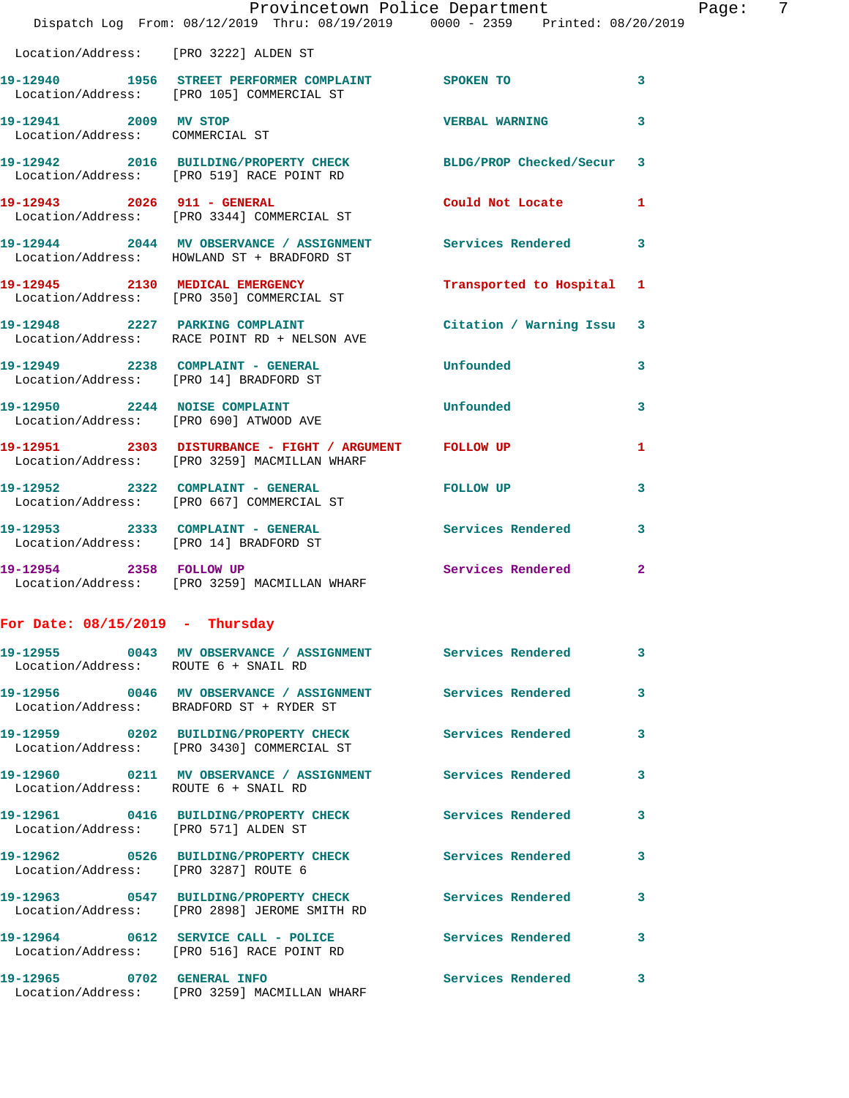|                                                          | Dispatch Log From: 08/12/2019 Thru: 08/19/2019 0000 - 2359 Printed: 08/20/2019                               | Provincetown Police Department |              | Page: | 7 |
|----------------------------------------------------------|--------------------------------------------------------------------------------------------------------------|--------------------------------|--------------|-------|---|
| Location/Address: [PRO 3222] ALDEN ST                    |                                                                                                              |                                |              |       |   |
|                                                          | 19-12940 1956 STREET PERFORMER COMPLAINT SPOKEN TO<br>Location/Address: [PRO 105] COMMERCIAL ST              |                                | $\mathbf{3}$ |       |   |
| 19-12941 2009 MV STOP<br>Location/Address: COMMERCIAL ST |                                                                                                              | VERBAL WARNING 3               |              |       |   |
|                                                          | 19-12942 2016 BUILDING/PROPERTY CHECK BLDG/PROP Checked/Secur 3<br>Location/Address: [PRO 519] RACE POINT RD |                                |              |       |   |
|                                                          | 19-12943 2026 911 - GENERAL<br>Location/Address: [PRO 3344] COMMERCIAL ST                                    | Could Not Locate 1             |              |       |   |
|                                                          | 19-12944 2044 MV OBSERVANCE / ASSIGNMENT Services Rendered 3<br>Location/Address: HOWLAND ST + BRADFORD ST   |                                |              |       |   |
|                                                          | 19-12945 2130 MEDICAL EMERGENCY<br>Location/Address: [PRO 350] COMMERCIAL ST                                 | Transported to Hospital 1      |              |       |   |
|                                                          | 19-12948 2227 PARKING COMPLAINT<br>Location/Address: RACE POINT RD + NELSON AVE                              | Citation / Warning Issu 3      |              |       |   |
|                                                          | 19-12949 2238 COMPLAINT - GENERAL Unfounded<br>Location/Address: [PRO 14] BRADFORD ST                        |                                | $\mathbf{3}$ |       |   |
| Location/Address: [PRO 690] ATWOOD AVE                   | 19-12950 2244 NOISE COMPLAINT                                                                                | Unfounded                      | 3            |       |   |
|                                                          | 19-12951 2303 DISTURBANCE - FIGHT / ARGUMENT FOLLOW UP<br>Location/Address: [PRO 3259] MACMILLAN WHARF       |                                | 1            |       |   |
|                                                          | 19-12952 2322 COMPLAINT - GENERAL FOLLOW UP<br>Location/Address: [PRO 667] COMMERCIAL ST                     |                                | 3            |       |   |
|                                                          | 19-12953 2333 COMPLAINT - GENERAL Services Rendered 3<br>Location/Address: [PRO 14] BRADFORD ST              |                                |              |       |   |
|                                                          | 19-12954 2358 FOLLOW UP<br>Location/Address: [PRO 3259] MACMILLAN WHARF                                      | Services Rendered 2            |              |       |   |
| For Date: $08/15/2019$ - Thursday                        |                                                                                                              |                                |              |       |   |
|                                                          | 19-12955 0043 MV OBSERVANCE / ASSIGNMENT Services Rendered 3<br>Location/Address: ROUTE 6 + SNAIL RD         |                                |              |       |   |
|                                                          | 19-12956 0046 MV OBSERVANCE / ASSIGNMENT Services Rendered 3<br>Location/Address: BRADFORD ST + RYDER ST     |                                |              |       |   |
|                                                          | 19-12959 0202 BUILDING/PROPERTY CHECK Services Rendered 3<br>Location/Address: [PRO 3430] COMMERCIAL ST      |                                |              |       |   |
| Location/Address: ROUTE 6 + SNAIL RD                     | 19-12960 0211 MV OBSERVANCE / ASSIGNMENT Services Rendered                                                   |                                | $\mathbf{3}$ |       |   |
| Location/Address: [PRO 571] ALDEN ST                     | 19-12961 0416 BUILDING/PROPERTY CHECK Services Rendered                                                      |                                | $\mathbf{3}$ |       |   |
| Location/Address: [PRO 3287] ROUTE 6                     | 19-12962 0526 BUILDING/PROPERTY CHECK Services Rendered 3                                                    |                                |              |       |   |
|                                                          | 19-12963 0547 BUILDING/PROPERTY CHECK Services Rendered 3<br>Location/Address: [PRO 2898] JEROME SMITH RD    |                                |              |       |   |
|                                                          | 19-12964 0612 SERVICE CALL - POLICE Services Rendered 3<br>Location/Address: [PRO 516] RACE POINT RD         |                                |              |       |   |
|                                                          | 19-12965 0702 GENERAL INFO<br>Location/Address: [PRO 3259] MACMILLAN WHARF                                   | Services Rendered 3            |              |       |   |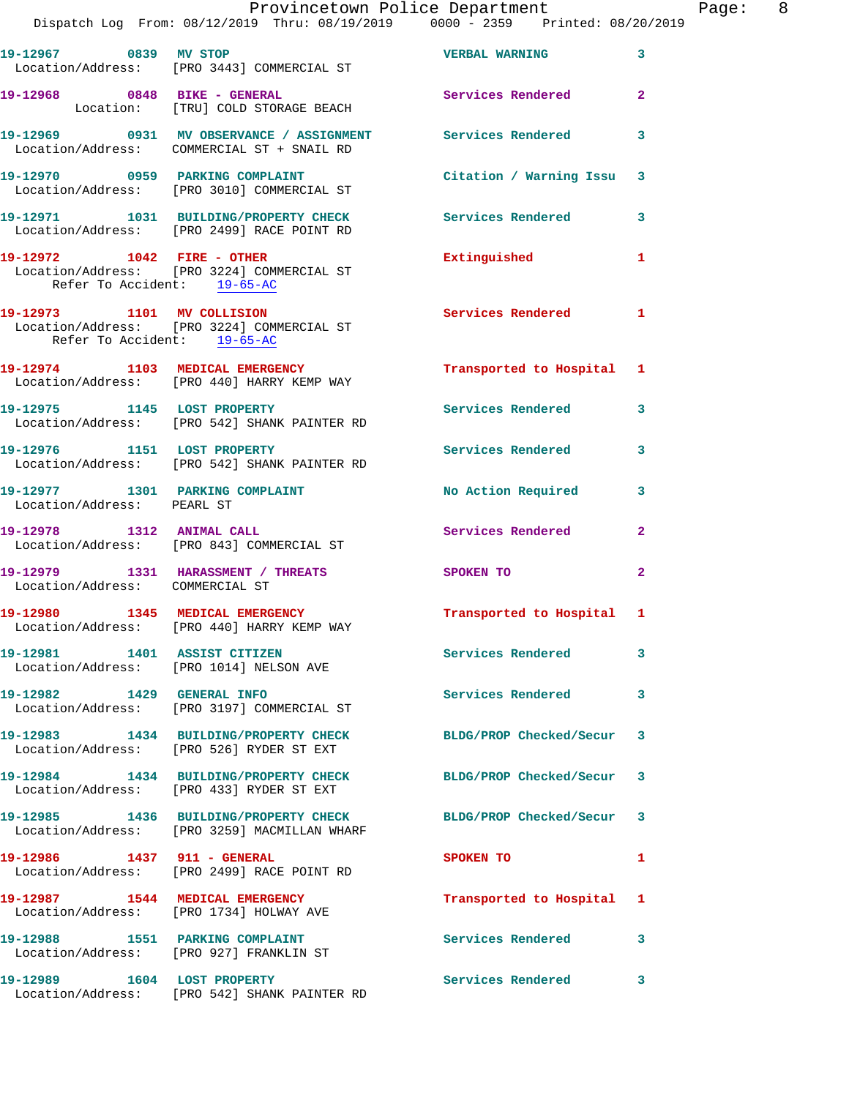|                                 | Dispatch Log From: 08/12/2019 Thru: 08/19/2019 0000 - 2359 Printed: 08/20/2019                                  | Provincetown Police Department |              | Page: 8 |  |
|---------------------------------|-----------------------------------------------------------------------------------------------------------------|--------------------------------|--------------|---------|--|
|                                 | 19-12967 0839 MV STOP<br>Location/Address: [PRO 3443] COMMERCIAL ST                                             | VERBAL WARNING 3               |              |         |  |
|                                 | 19-12968 0848 BIKE - GENERAL CONSERVATE Services Rendered 2<br>Location: [TRU] COLD STORAGE BEACH               |                                |              |         |  |
|                                 | 19-12969 0931 MV OBSERVANCE / ASSIGNMENT Services Rendered<br>Location/Address: COMMERCIAL ST + SNAIL RD        |                                | 3            |         |  |
|                                 | 19-12970 0959 PARKING COMPLAINT<br>Location/Address: [PRO 3010] COMMERCIAL ST                                   | Citation / Warning Issu 3      |              |         |  |
|                                 | 19-12971 1031 BUILDING/PROPERTY CHECK Services Rendered 3<br>Location/Address: [PRO 2499] RACE POINT RD         |                                |              |         |  |
| Refer To Accident: 19-65-AC     | 19-12972 1042 FIRE - OTHER<br>Location/Address: [PRO 3224] COMMERCIAL ST                                        | Extinguished                   | $\mathbf{1}$ |         |  |
| Refer To Accident: 19-65-AC     | 19-12973 1101 MV COLLISION<br>Location/Address: [PRO 3224] COMMERCIAL ST                                        | Services Rendered 1            |              |         |  |
|                                 | 19-12974 1103 MEDICAL EMERGENCY<br>Location/Address: [PRO 440] HARRY KEMP WAY                                   | Transported to Hospital 1      |              |         |  |
|                                 | 19-12975 1145 LOST PROPERTY<br>Location/Address: [PRO 542] SHANK PAINTER RD                                     | <b>Services Rendered</b>       | 3            |         |  |
|                                 | 19-12976 1151 LOST PROPERTY<br>Location/Address: [PRO 542] SHANK PAINTER RD                                     | Services Rendered              | 3            |         |  |
| Location/Address: PEARL ST      | 19-12977 1301 PARKING COMPLAINT                                                                                 | No Action Required 3           |              |         |  |
|                                 | 19-12978 1312 ANIMAL CALL<br>Location/Address: [PRO 843] COMMERCIAL ST                                          | Services Rendered 2            |              |         |  |
| Location/Address: COMMERCIAL ST | 19-12979 1331 HARASSMENT / THREATS                                                                              | SPOKEN TO                      | $\mathbf{2}$ |         |  |
|                                 | 19-12980 1345 MEDICAL EMERGENCY<br>Location/Address: [PRO 440] HARRY KEMP WAY                                   | Transported to Hospital 1      |              |         |  |
|                                 | 19-12981 1401 ASSIST CITIZEN<br>Location/Address: [PRO 1014] NELSON AVE                                         | Services Rendered 3            |              |         |  |
|                                 | 19-12982 1429 GENERAL INFO<br>Location/Address: [PRO 3197] COMMERCIAL ST                                        | Services Rendered              | 3            |         |  |
|                                 | 19-12983 1434 BUILDING/PROPERTY CHECK BLDG/PROP Checked/Secur 3<br>Location/Address: [PRO 526] RYDER ST EXT     |                                |              |         |  |
|                                 | 19-12984 1434 BUILDING/PROPERTY CHECK<br>Location/Address: [PRO 433] RYDER ST EXT                               | BLDG/PROP Checked/Secur 3      |              |         |  |
|                                 | 19-12985 1436 BUILDING/PROPERTY CHECK BLDG/PROP Checked/Secur 3<br>Location/Address: [PRO 3259] MACMILLAN WHARF |                                |              |         |  |
|                                 | 19-12986 1437 911 - GENERAL<br>Location/Address: [PRO 2499] RACE POINT RD                                       | SPOKEN TO                      | 1            |         |  |
|                                 | 19-12987 1544 MEDICAL EMERGENCY<br>Location/Address: [PRO 1734] HOLWAY AVE                                      | Transported to Hospital 1      |              |         |  |
| 19-12988 1551 PARKING COMPLAINT | Location/Address: [PRO 927] FRANKLIN ST                                                                         | Services Rendered 3            |              |         |  |
|                                 | 19-12989 1604 LOST PROPERTY<br>Location/Address: [PRO 542] SHANK PAINTER RD                                     | Services Rendered              | 3            |         |  |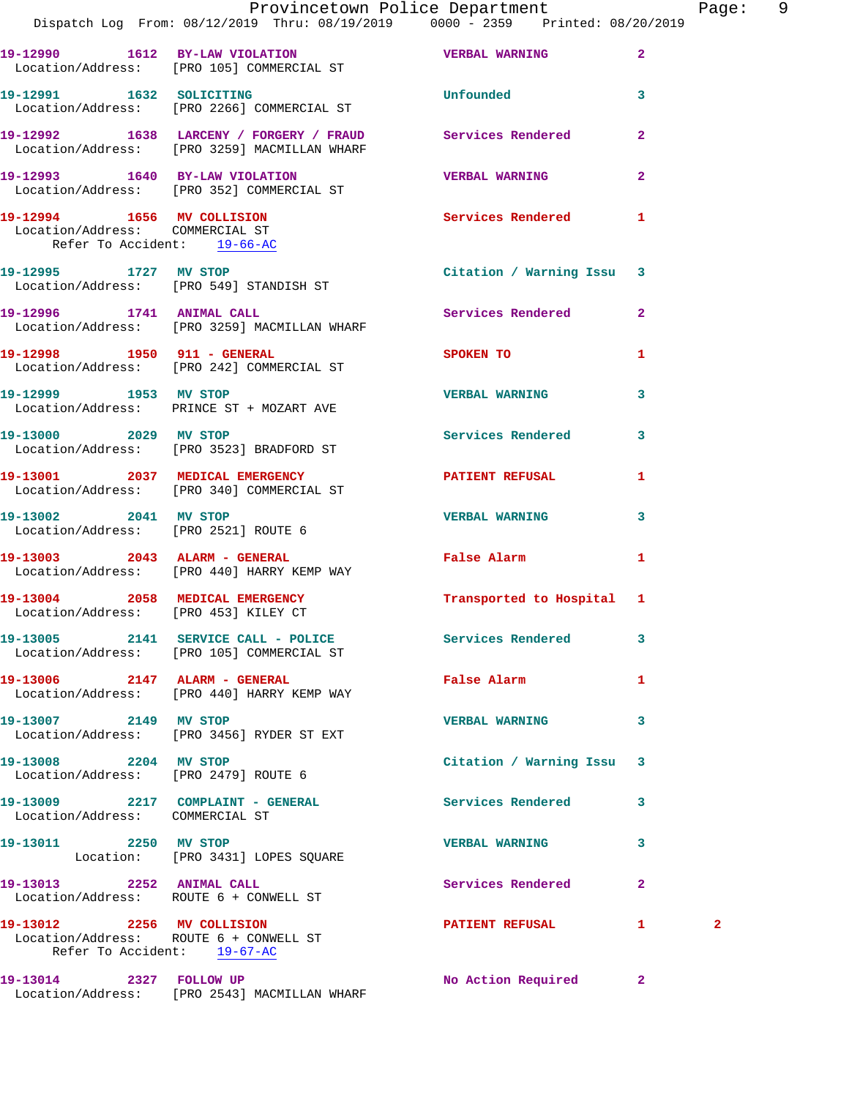|                                                                                                     | Provincetown Police Department<br>Dispatch Log From: 08/12/2019 Thru: 08/19/2019 0000 - 2359 Printed: 08/20/2019 |                              |                         | Page: 9      |  |
|-----------------------------------------------------------------------------------------------------|------------------------------------------------------------------------------------------------------------------|------------------------------|-------------------------|--------------|--|
|                                                                                                     | 19-12990 1612 BY-LAW VIOLATION VERBAL WARNING 2<br>Location/Address: [PRO 105] COMMERCIAL ST                     |                              |                         |              |  |
|                                                                                                     | 19-12991 1632 SOLICITING<br>Location/Address: [PRO 2266] COMMERCIAL ST                                           | <b>Unfounded United</b>      | $\overline{\mathbf{3}}$ |              |  |
|                                                                                                     | 19-12992 1638 LARCENY / FORGERY / FRAUD Services Rendered 2<br>Location/Address: [PRO 3259] MACMILLAN WHARF      |                              |                         |              |  |
|                                                                                                     | 19-12993 1640 BY-LAW VIOLATION<br>Location/Address: [PRO 352] COMMERCIAL ST                                      | <b>VERBAL WARNING</b>        | $\mathbf{2}$            |              |  |
| Location/Address: COMMERCIAL ST<br>Refer To Accident: 19-66-AC                                      | 19-12994 1656 MV COLLISION Services Rendered 1                                                                   |                              |                         |              |  |
|                                                                                                     | 19-12995 1727 MV STOP<br>Location/Address: [PRO 549] STANDISH ST                                                 | Citation / Warning Issu 3    |                         |              |  |
|                                                                                                     | 19-12996 1741 ANIMAL CALL Services Rendered 2<br>Location/Address: [PRO 3259] MACMILLAN WHARF                    |                              |                         |              |  |
|                                                                                                     | 19-12998 1950 911 - GENERAL SPOKEN TO<br>Location/Address: [PRO 242] COMMERCIAL ST                               |                              | $\mathbf{1}$            |              |  |
|                                                                                                     | 19-12999 1953 MV STOP<br>Location/Address: PRINCE ST + MOZART AVE                                                | VERBAL WARNING 3             |                         |              |  |
| 19-13000 2029 MV STOP                                                                               | Location/Address: [PRO 3523] BRADFORD ST                                                                         | Services Rendered 3          |                         |              |  |
|                                                                                                     | 19-13001 2037 MEDICAL EMERGENCY PATIENT REFUSAL<br>Location/Address: [PRO 340] COMMERCIAL ST                     |                              | $\mathbf{1}$            |              |  |
|                                                                                                     | 19-13002 2041 MV STOP<br>Location/Address: [PRO 2521] ROUTE 6                                                    | <b>VERBAL WARNING</b>        | 3                       |              |  |
|                                                                                                     | 19-13003 2043 ALARM - GENERAL<br>Location/Address: [PRO 440] HARRY KEMP WAY                                      | False Alarm 1                |                         |              |  |
|                                                                                                     | 19-13004 2058 MEDICAL EMERGENCY Transported to Hospital 1<br>Location/Address: [PRO 453] KILEY CT                |                              |                         |              |  |
|                                                                                                     | 19-13005 2141 SERVICE CALL - POLICE Services Rendered<br>Location/Address: [PRO 105] COMMERCIAL ST               |                              | 3                       |              |  |
|                                                                                                     | 19-13006 2147 ALARM - GENERAL<br>Location/Address: [PRO 440] HARRY KEMP WAY                                      | False Alarm <b>Example 2</b> | 1                       |              |  |
| 19-13007 2149 MV STOP                                                                               | Location/Address: [PRO 3456] RYDER ST EXT                                                                        | <b>VERBAL WARNING</b>        | 3                       |              |  |
| 19-13008 2204 MV STOP                                                                               | Location/Address: [PRO 2479] ROUTE 6                                                                             | Citation / Warning Issu 3    |                         |              |  |
| Location/Address: COMMERCIAL ST                                                                     | 19-13009 2217 COMPLAINT - GENERAL                                                                                | <b>Services Rendered</b>     | $\mathbf{3}$            |              |  |
| 19-13011 2250 MV STOP                                                                               | Location: [PRO 3431] LOPES SQUARE                                                                                | <b>VERBAL WARNING</b>        | 3                       |              |  |
|                                                                                                     | 19-13013 2252 ANIMAL CALL<br>Location/Address: ROUTE 6 + CONWELL ST                                              | <b>Services Rendered</b>     | $\mathbf{2}$            |              |  |
| 19-13012 2256 MV COLLISION<br>Location/Address: ROUTE 6 + CONWELL ST<br>Refer To Accident: 19-67-AC |                                                                                                                  | PATIENT REFUSAL 1            |                         | $\mathbf{2}$ |  |

Location/Address: [PRO 2543] MACMILLAN WHARF

**19-13014 2327 FOLLOW UP No Action Required 2**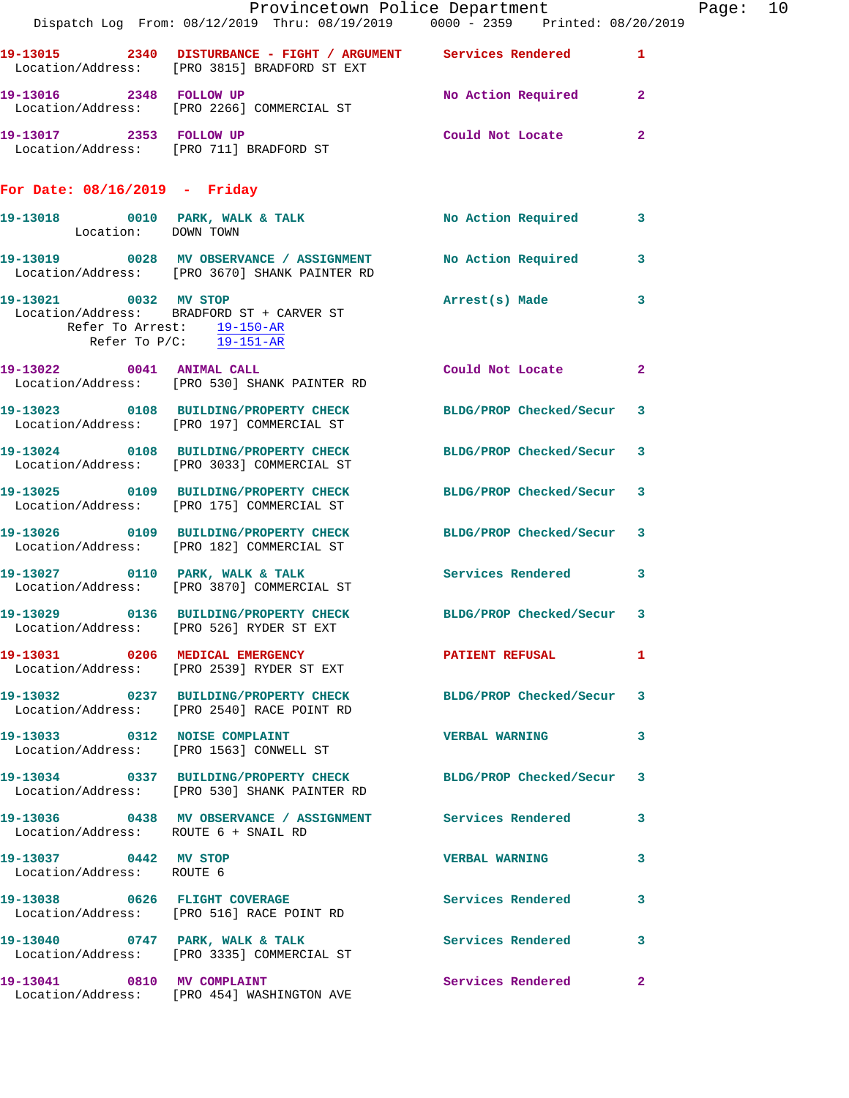|                                                    | Dispatch Log From: 08/12/2019 Thru: 08/19/2019 0000 - 2359 Printed: 08/20/2019                                   | Provincetown Police Department |              | Page: 10 |  |
|----------------------------------------------------|------------------------------------------------------------------------------------------------------------------|--------------------------------|--------------|----------|--|
|                                                    | 19-13015 2340 DISTURBANCE - FIGHT / ARGUMENT Services Rendered 1<br>Location/Address: [PRO 3815] BRADFORD ST EXT |                                |              |          |  |
| 19-13016 2348 FOLLOW UP                            | Location/Address: [PRO 2266] COMMERCIAL ST                                                                       | No Action Required 2           |              |          |  |
|                                                    | 19-13017 2353 FOLLOW UP<br>Location/Address: [PRO 711] BRADFORD ST                                               | Could Not Locate               | $\mathbf{2}$ |          |  |
| For Date: $08/16/2019$ - Friday                    |                                                                                                                  |                                |              |          |  |
|                                                    |                                                                                                                  |                                |              |          |  |
|                                                    | 19-13019 0028 MV OBSERVANCE / ASSIGNMENT No Action Required 3<br>Location/Address: [PRO 3670] SHANK PAINTER RD   |                                |              |          |  |
| Refer To P/C: 19-151-AR                            | 19-13021 0032 MV STOP<br>Location/Address: BRADFORD ST + CARVER ST<br>Refer To Arrest: 19-150-AR                 | Arrest(s) Made                 | $\mathbf{3}$ |          |  |
|                                                    | 19-13022 0041 ANIMAL CALL<br>Location/Address: [PRO 530] SHANK PAINTER RD                                        | Could Not Locate               | -2           |          |  |
|                                                    | 19-13023 0108 BUILDING/PROPERTY CHECK BLDG/PROP Checked/Secur 3<br>Location/Address: [PRO 197] COMMERCIAL ST     |                                |              |          |  |
|                                                    | 19-13024 0108 BUILDING/PROPERTY CHECK BLDG/PROP Checked/Secur 3<br>Location/Address: [PRO 3033] COMMERCIAL ST    |                                |              |          |  |
|                                                    | 19-13025 0109 BUILDING/PROPERTY CHECK BLDG/PROP Checked/Secur 3<br>Location/Address: [PRO 175] COMMERCIAL ST     |                                |              |          |  |
|                                                    | 19-13026 0109 BUILDING/PROPERTY CHECK BLDG/PROP Checked/Secur 3<br>Location/Address: [PRO 182] COMMERCIAL ST     |                                |              |          |  |
|                                                    | 19-13027 0110 PARK, WALK & TALK<br>Location/Address: [PRO 3870] COMMERCIAL ST                                    | Services Rendered              | 3            |          |  |
|                                                    | 19-13029 0136 BUILDING/PROPERTY CHECK BLDG/PROP Checked/Secur 3<br>Location/Address: [PRO 526] RYDER ST EXT      |                                |              |          |  |
|                                                    | 19-13031 0206 MEDICAL EMERGENCY<br>Location/Address: [PRO 2539] RYDER ST EXT                                     | PATIENT REFUSAL 1              |              |          |  |
|                                                    | 19-13032 0237 BUILDING/PROPERTY CHECK BLDG/PROP Checked/Secur 3<br>Location/Address: [PRO 2540] RACE POINT RD    |                                |              |          |  |
|                                                    | 19-13033 0312 NOISE COMPLAINT<br>Location/Address: [PRO 1563] CONWELL ST                                         | VERBAL WARNING 3               |              |          |  |
|                                                    | 19-13034 0337 BUILDING/PROPERTY CHECK BLDG/PROP Checked/Secur 3<br>Location/Address: [PRO 530] SHANK PAINTER RD  |                                |              |          |  |
| Location/Address: ROUTE 6 + SNAIL RD               | 19-13036 0438 MV OBSERVANCE / ASSIGNMENT Services Rendered 3                                                     |                                |              |          |  |
| 19-13037 0442 MV STOP<br>Location/Address: ROUTE 6 |                                                                                                                  | <b>VERBAL WARNING</b>          | 3            |          |  |
|                                                    | 19-13038 0626 FLIGHT COVERAGE<br>Location/Address: [PRO 516] RACE POINT RD                                       | Services Rendered              | 3            |          |  |
|                                                    | 19-13040 0747 PARK, WALK & TALK<br>Location/Address: [PRO 3335] COMMERCIAL ST                                    | <b>Services Rendered</b> 3     |              |          |  |
|                                                    | 19-13041 0810 MV COMPLAINT<br>Location/Address: [PRO 454] WASHINGTON AVE                                         | Services Rendered              | $\mathbf{2}$ |          |  |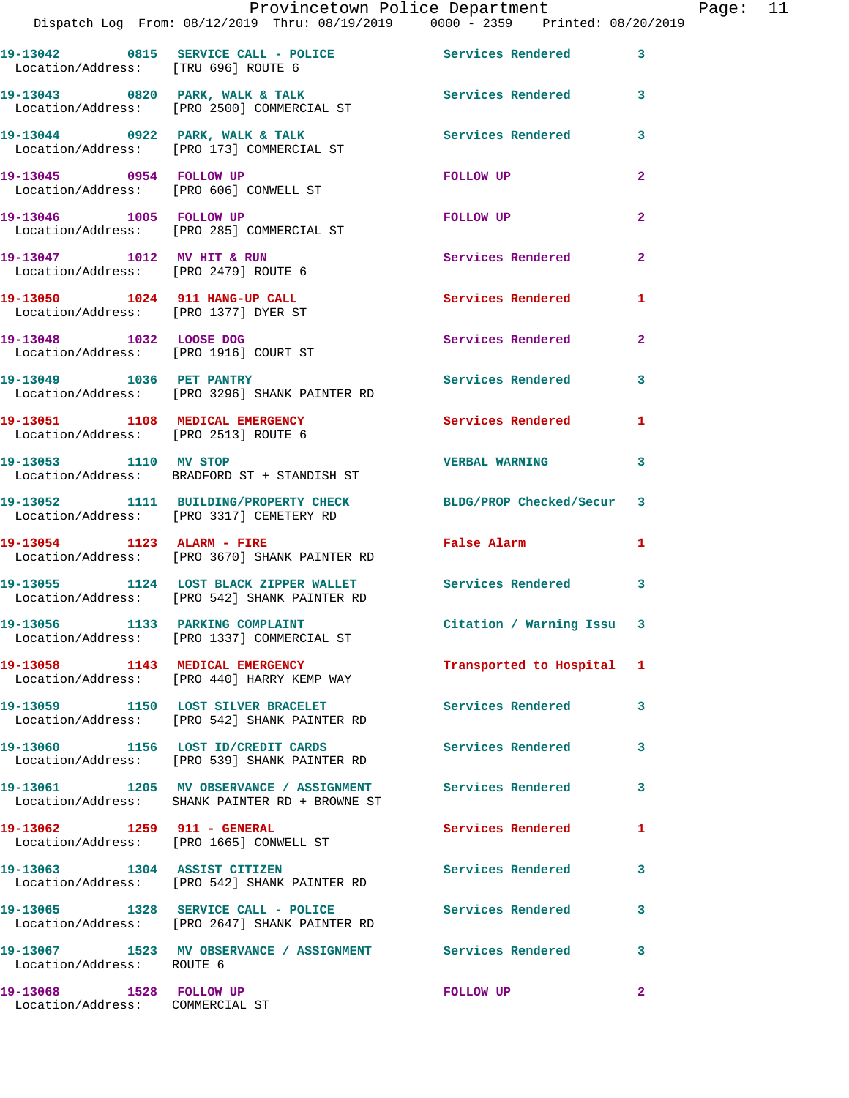|                                                                         | Provincetown Police Department<br>Dispatch Log From: 08/12/2019 Thru: 08/19/2019 0000 - 2359 Printed: 08/20/2019 |                          |                |
|-------------------------------------------------------------------------|------------------------------------------------------------------------------------------------------------------|--------------------------|----------------|
| Location/Address: [TRU 696] ROUTE 6                                     | 19-13042 0815 SERVICE CALL - POLICE 30 Services Rendered                                                         |                          | 3              |
|                                                                         | 19-13043 0820 PARK, WALK & TALK<br>Location/Address: [PRO 2500] COMMERCIAL ST                                    | <b>Services Rendered</b> | 3              |
|                                                                         | 19-13044 0922 PARK, WALK & TALK<br>Location/Address: [PRO 173] COMMERCIAL ST                                     | <b>Services Rendered</b> | 3              |
| 19-13045 0954 FOLLOW UP                                                 | Location/Address: [PRO 606] CONWELL ST                                                                           | FOLLOW UP                | $\overline{a}$ |
|                                                                         | 19-13046 1005 FOLLOW UP<br>Location/Address: [PRO 285] COMMERCIAL ST                                             | FOLLOW UP                | $\overline{a}$ |
| 19-13047 1012 MV HIT & RUN<br>Location/Address: [PRO 2479] ROUTE 6      |                                                                                                                  | Services Rendered        | $\overline{a}$ |
| 19-13050 1024 911 HANG-UP CALL<br>Location/Address: [PRO 1377] DYER ST  |                                                                                                                  | <b>Services Rendered</b> | 1              |
| 19-13048 1032 LOOSE DOG                                                 | Location/Address: [PRO 1916] COURT ST                                                                            | Services Rendered        | $\mathbf{2}$   |
|                                                                         | 19-13049 1036 PET PANTRY<br>Location/Address: [PRO 3296] SHANK PAINTER RD                                        | <b>Services Rendered</b> | 3              |
| 19-13051 1108 MEDICAL EMERGENCY<br>Location/Address: [PRO 2513] ROUTE 6 |                                                                                                                  | Services Rendered        | 1              |
| 19-13053 1110 MV STOP                                                   | Location/Address: BRADFORD ST + STANDISH ST                                                                      | <b>VERBAL WARNING</b>    | 3              |
|                                                                         | 19-13052 1111 BUILDING/PROPERTY CHECK BLDG/PROP Checked/Secur<br>Location/Address: [PRO 3317] CEMETERY RD        |                          | 3              |
|                                                                         | 19-13054 1123 ALARM - FIRE<br>Location/Address: [PRO 3670] SHANK PAINTER RD                                      | False Alarm              | 1              |
|                                                                         | 19-13055 1124 LOST BLACK ZIPPER WALLET Services Rendered<br>Location/Address: [PRO 542] SHANK PAINTER RD         |                          | 3              |
|                                                                         | 19-13056 1133 PARKING COMPLAINT<br>Location/Address: [PRO 1337] COMMERCIAL ST                                    | Citation / Warning Issu  | 3              |
|                                                                         | 19-13058 1143 MEDICAL EMERGENCY<br>Location/Address: [PRO 440] HARRY KEMP WAY                                    | Transported to Hospital  | 1              |
|                                                                         | 19-13059 1150 LOST SILVER BRACELET<br>Location/Address: [PRO 542] SHANK PAINTER RD                               | <b>Services Rendered</b> | 3              |
|                                                                         | 19-13060 1156 LOST ID/CREDIT CARDS Services Rendered<br>Location/Address: [PRO 539] SHANK PAINTER RD             |                          | 3              |
|                                                                         | 19-13061 1205 MV OBSERVANCE / ASSIGNMENT Services Rendered<br>Location/Address: SHANK PAINTER RD + BROWNE ST     |                          | 3              |
| 19-13062 1259 911 - GENERAL                                             | Location/Address: [PRO 1665] CONWELL ST                                                                          | Services Rendered        | 1              |
|                                                                         | 19-13063 1304 ASSIST CITIZEN<br>Location/Address: [PRO 542] SHANK PAINTER RD                                     | Services Rendered        | 3              |
|                                                                         | 19-13065 1328 SERVICE CALL - POLICE<br>Location/Address: [PRO 2647] SHANK PAINTER RD                             | <b>Services Rendered</b> | 3              |
| Location/Address: ROUTE 6                                               | 19-13067 1523 MV OBSERVANCE / ASSIGNMENT Services Rendered                                                       |                          | 3              |
| 19-13068 1528 FOLLOW UP                                                 |                                                                                                                  | FOLLOW UP                | $\mathbf{2}$   |

Location/Address: COMMERCIAL ST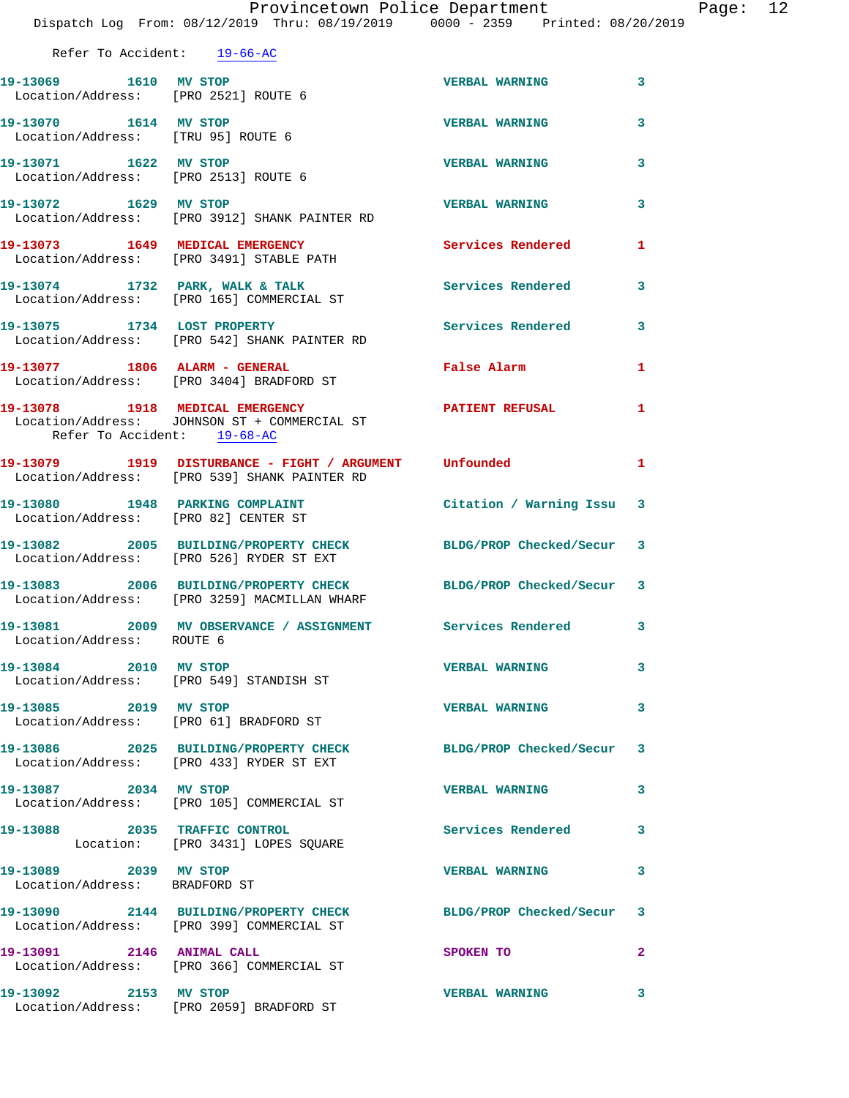|                                                               | Provincetown Police Department<br>Dispatch Log From: 08/12/2019 Thru: 08/19/2019 0000 - 2359 Printed: 08/20/2019 |                          |                         |
|---------------------------------------------------------------|------------------------------------------------------------------------------------------------------------------|--------------------------|-------------------------|
| Refer To Accident: 19-66-AC                                   |                                                                                                                  |                          |                         |
| 19-13069 1610 MV STOP                                         | Location/Address: [PRO 2521] ROUTE 6                                                                             | <b>VERBAL WARNING</b>    | 3                       |
| 19-13070 1614 MV STOP<br>Location/Address: [TRU 95] ROUTE 6   |                                                                                                                  | <b>VERBAL WARNING</b>    | 3                       |
| 19-13071 1622 MV STOP<br>Location/Address: [PRO 2513] ROUTE 6 |                                                                                                                  | <b>VERBAL WARNING</b>    | 3                       |
| 19-13072 1629 MV STOP                                         | Location/Address: [PRO 3912] SHANK PAINTER RD                                                                    | <b>VERBAL WARNING</b>    | 3                       |
|                                                               | 19-13073 1649 MEDICAL EMERGENCY<br>Location/Address: [PRO 3491] STABLE PATH                                      | <b>Services Rendered</b> | 1                       |
|                                                               | 19-13074 1732 PARK, WALK & TALK<br>Location/Address: [PRO 165] COMMERCIAL ST                                     | <b>Services Rendered</b> | 3                       |
|                                                               | 19-13075 1734 LOST PROPERTY<br>Location/Address: [PRO 542] SHANK PAINTER RD                                      | Services Rendered        | 3                       |
|                                                               | 19-13077 1806 ALARM - GENERAL<br>Location/Address: [PRO 3404] BRADFORD ST                                        | False Alarm              | 1                       |
| Refer To Accident: 19-68-AC                                   | 19-13078 1918 MEDICAL EMERGENCY<br>Location/Address: JOHNSON ST + COMMERCIAL ST                                  | <b>PATIENT REFUSAL</b>   | 1                       |
|                                                               | 19-13079 1919 DISTURBANCE - FIGHT / ARGUMENT Unfounded<br>Location/Address: [PRO 539] SHANK PAINTER RD           |                          | 1                       |
| Location/Address: [PRO 82] CENTER ST                          | 19-13080 1948 PARKING COMPLAINT                                                                                  | Citation / Warning Issu  | 3                       |
|                                                               | 19-13082 2005 BUILDING/PROPERTY CHECK BLDG/PROP Checked/Secur<br>Location/Address: [PRO 526] RYDER ST EXT        |                          | -3                      |
|                                                               | 19-13083 2006 BUILDING/PROPERTY CHECK BLDG/PROP Checked/Secur<br>Location/Address: [PRO 3259] MACMILLAN WHARF    |                          | -3                      |
| Location/Address: ROUTE 6                                     | 19-13081 2009 MV OBSERVANCE / ASSIGNMENT Services Rendered                                                       |                          | 3                       |
| 19-13084 2010 MV STOP                                         | Location/Address: [PRO 549] STANDISH ST                                                                          | <b>VERBAL WARNING</b>    | 3                       |
| 19-13085 2019 MV STOP                                         | Location/Address: [PRO 61] BRADFORD ST                                                                           | <b>VERBAL WARNING</b>    | 3                       |
|                                                               | 19-13086 2025 BUILDING/PROPERTY CHECK BLDG/PROP Checked/Secur<br>Location/Address: [PRO 433] RYDER ST EXT        |                          | 3                       |
| 19-13087 2034 MV STOP                                         | Location/Address: [PRO 105] COMMERCIAL ST                                                                        | <b>VERBAL WARNING</b>    | 3                       |
|                                                               | 19-13088 2035 TRAFFIC CONTROL<br>Location: [PRO 3431] LOPES SQUARE                                               | <b>Services Rendered</b> | 3                       |
| 19-13089 2039 MV STOP<br>Location/Address: BRADFORD ST        |                                                                                                                  | <b>VERBAL WARNING</b>    | 3                       |
|                                                               | 19-13090 2144 BUILDING/PROPERTY CHECK BLDG/PROP Checked/Secur<br>Location/Address: [PRO 399] COMMERCIAL ST       |                          | 3                       |
| 19-13091 2146 ANIMAL CALL                                     | Location/Address: [PRO 366] COMMERCIAL ST                                                                        | SPOKEN TO                | $\overline{\mathbf{2}}$ |
| 19-13092 2153 MV STOP                                         |                                                                                                                  | <b>VERBAL WARNING</b>    | 3                       |

Location/Address: [PRO 2059] BRADFORD ST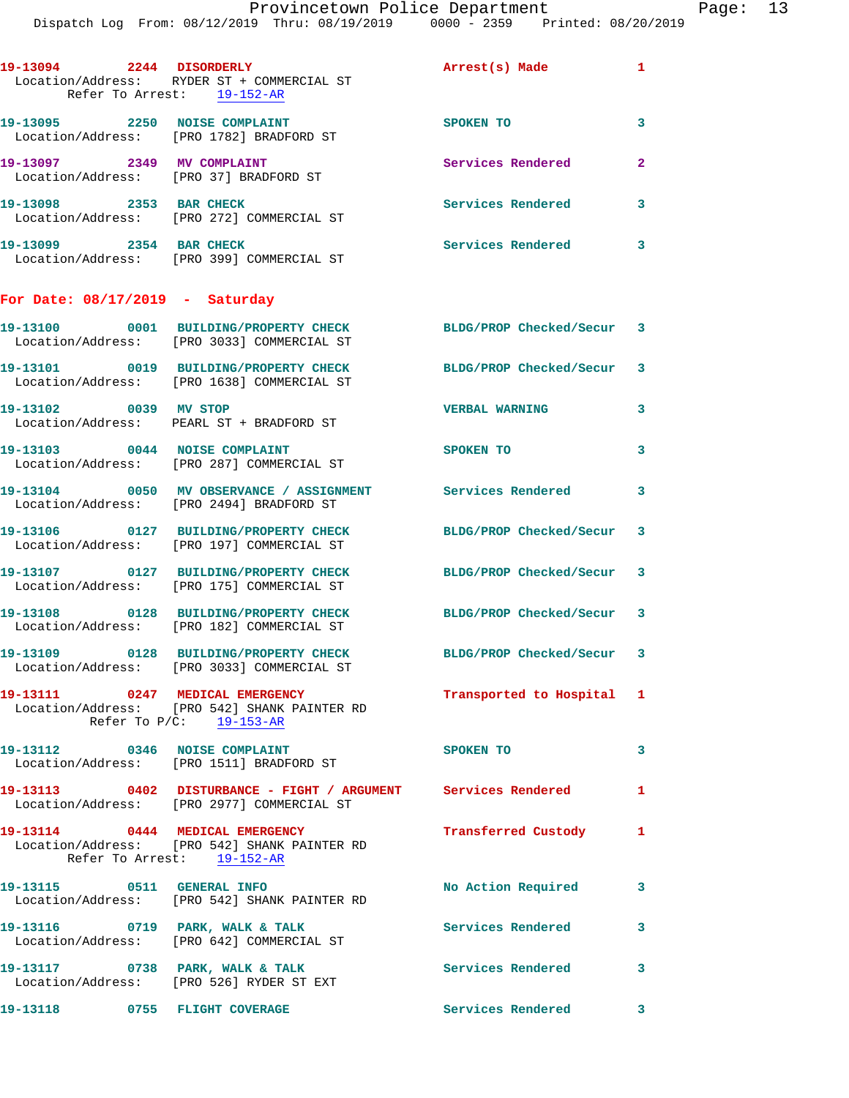|                                   | $D + D \sim Q$ and $Q = 1$ and $Q = 0$ and $Q = 0$ and $Q = 0$ and $Q = 0$                                            |                           |                         |
|-----------------------------------|-----------------------------------------------------------------------------------------------------------------------|---------------------------|-------------------------|
|                                   | 19-13094 2244 DISORDERLY Arrest(s) Made 1<br>Location/Address: RYDER ST + COMMERCIAL ST<br>Refer To Arrest: 19-152-AR |                           |                         |
|                                   | 19-13095 2250 NOISE COMPLAINT<br>Location/Address: [PRO 1782] BRADFORD ST                                             | SPOKEN TO                 | $\overline{\mathbf{3}}$ |
| 19-13097 2349 MV COMPLAINT        | Location/Address: [PRO 37] BRADFORD ST                                                                                | <b>Services Rendered</b>  | $\overline{2}$          |
| 19-13098 2353 BAR CHECK           | Location/Address: [PRO 272] COMMERCIAL ST                                                                             | <b>Services Rendered</b>  | $\overline{3}$          |
| 19-13099 2354 BAR CHECK           | Location/Address: [PRO 399] COMMERCIAL ST                                                                             | Services Rendered 3       |                         |
| For Date: $08/17/2019$ - Saturday |                                                                                                                       |                           |                         |
|                                   | 19-13100 0001 BUILDING/PROPERTY CHECK BLDG/PROP Checked/Secur 3<br>Location/Address: [PRO 3033] COMMERCIAL ST         |                           |                         |
|                                   | 19-13101 0019 BUILDING/PROPERTY CHECK<br>Location/Address: [PRO 1638] COMMERCIAL ST                                   | BLDG/PROP Checked/Secur 3 |                         |
| 19-13102 0039 MV STOP             | Location/Address: PEARL ST + BRADFORD ST                                                                              | <b>VERBAL WARNING</b>     | 3                       |
|                                   | 19-13103 0044 NOISE COMPLAINT<br>Location/Address: [PRO 287] COMMERCIAL ST                                            | SPOKEN TO                 | 3                       |

**19-13104 0050 MV OBSERVANCE / ASSIGNMENT Services Rendered 3**  Location/Address: [PRO 2494] BRADFORD ST **19-13106 0127 BUILDING/PROPERTY CHECK BLDG/PROP Checked/Secur 3**  Location/Address: [PRO 197] COMMERCIAL ST

**19-13107 0127 BUILDING/PROPERTY CHECK BLDG/PROP Checked/Secur 3**  Location/Address: [PRO 175] COMMERCIAL ST **19-13108 0128 BUILDING/PROPERTY CHECK BLDG/PROP Checked/Secur 3** 

Location/Address: [PRO 182] COMMERCIAL ST

Location/Address: [PRO 3033] COMMERCIAL ST

**19-13111 0247 MEDICAL EMERGENCY Transported to Hospital 1**  Location/Address: [PRO 542] SHANK PAINTER RD Refer To P/C: 19-153-AR

**19-13112 0346 NOISE COMPLAINT SPOKEN TO 3**  Location/Address: [PRO 1511] BRADFORD ST

**19-13113 0402 DISTURBANCE - FIGHT / ARGUMENT Services Rendered 1**  Location/Address: [PRO 2977] COMMERCIAL ST

**19-13114 0444 MEDICAL EMERGENCY Transferred Custody 1**  Location/Address: [PRO 542] SHANK PAINTER RD Refer To Arrest: 19-152-AR

**19-13115 0511 GENERAL INFO No Action Required 3**  Location/Address: [PRO 542] SHANK PAINTER RD

19-13116 **19 ORRE, WALK & TALK 19-13116 19-13116 19-13116 19-13116 19-13116 19-13116 19-13116 19-13116 19-13116 19-13116 19-13116 19-13116 19-13116 19-13116 19-13116 19-13116 19-13116 19** Location/Address: [PRO 642] COMMERCIAL ST

Location/Address: [PRO 526] RYDER ST EXT

**19-13109 0128 BUILDING/PROPERTY CHECK BLDG/PROP Checked/Secur 3** 

**19-13117 0738 PARK, WALK & TALK Services Rendered 3** 

**19-13118 0755 FLIGHT COVERAGE Services Rendered 3**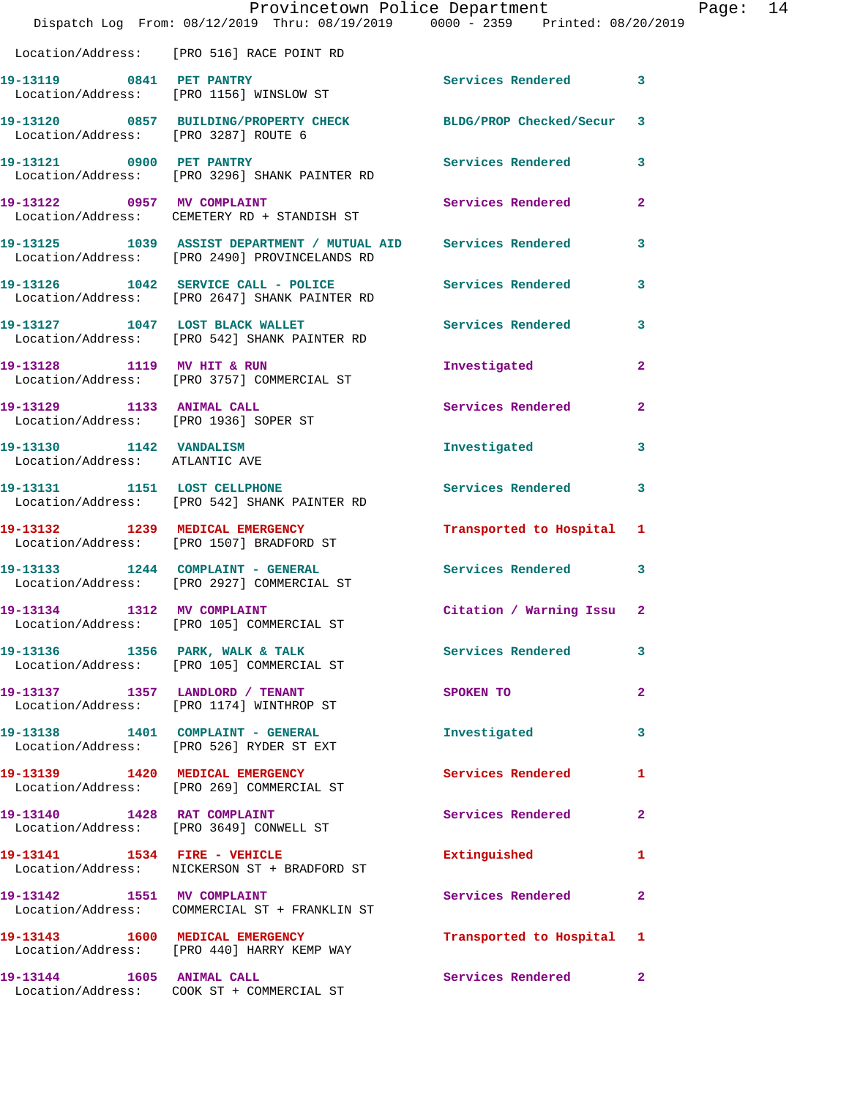|                                                                    | Provincetown Police Department<br>Dispatch Log From: 08/12/2019 Thru: 08/19/2019 0000 - 2359 Printed: 08/20/2019 |                          |                |
|--------------------------------------------------------------------|------------------------------------------------------------------------------------------------------------------|--------------------------|----------------|
|                                                                    | Location/Address: [PRO 516] RACE POINT RD                                                                        |                          |                |
| 19-13119 0841 PET PANTRY                                           | Location/Address: [PRO 1156] WINSLOW ST                                                                          | <b>Services Rendered</b> | 3              |
| Location/Address: [PRO 3287] ROUTE 6                               | 19-13120 0857 BUILDING/PROPERTY CHECK BLDG/PROP Checked/Secur                                                    |                          | 3              |
| 19-13121 0900 PET PANTRY                                           | Location/Address: [PRO 3296] SHANK PAINTER RD                                                                    | <b>Services Rendered</b> | 3              |
|                                                                    | 19-13122 0957 MV COMPLAINT<br>Location/Address: CEMETERY RD + STANDISH ST                                        | <b>Services Rendered</b> | 2              |
|                                                                    | 19-13125 1039 ASSIST DEPARTMENT / MUTUAL AID Services Rendered<br>Location/Address: [PRO 2490] PROVINCELANDS RD  |                          | 3              |
|                                                                    | 19-13126 1042 SERVICE CALL - POLICE<br>Location/Address: [PRO 2647] SHANK PAINTER RD                             | Services Rendered        | 3              |
|                                                                    | 19-13127 1047 LOST BLACK WALLET<br>Location/Address: [PRO 542] SHANK PAINTER RD                                  | Services Rendered        | 3              |
| 19-13128 1119 MV HIT & RUN                                         | Location/Address: [PRO 3757] COMMERCIAL ST                                                                       | Investigated             | 2              |
| 19-13129 1133 ANIMAL CALL<br>Location/Address: [PRO 1936] SOPER ST |                                                                                                                  | Services Rendered        | 2              |
| 19-13130 1142 VANDALISM<br>Location/Address: ATLANTICAVE           |                                                                                                                  | Investigated             | 3              |
|                                                                    | 19-13131 1151 LOST CELLPHONE<br>Location/Address: [PRO 542] SHANK PAINTER RD                                     | Services Rendered        | 3              |
|                                                                    | 19-13132 1239 MEDICAL EMERGENCY<br>Location/Address: [PRO 1507] BRADFORD ST                                      | Transported to Hospital  | 1              |
|                                                                    | 19-13133 1244 COMPLAINT - GENERAL<br>Location/Address: [PRO 2927] COMMERCIAL ST                                  | <b>Services Rendered</b> | 3              |
| 19-13134 1312 MV COMPLAINT                                         | Location/Address: [PRO 105] COMMERCIAL ST                                                                        | Citation / Warning Issu  | $\overline{2}$ |
|                                                                    | 19-13136 1356 PARK, WALK & TALK<br>Location/Address: [PRO 105] COMMERCIAL ST                                     | <b>Services Rendered</b> | 3              |
|                                                                    | 19-13137 1357 LANDLORD / TENANT<br>Location/Address: [PRO 1174] WINTHROP ST                                      | SPOKEN TO                | $\overline{a}$ |
|                                                                    | 19-13138 1401 COMPLAINT - GENERAL<br>Location/Address: [PRO 526] RYDER ST EXT                                    | Investigated             | 3              |
|                                                                    | 19-13139 1420 MEDICAL EMERGENCY<br>Location/Address: [PRO 269] COMMERCIAL ST                                     | Services Rendered        | 1              |
| 19-13140 1428 RAT COMPLAINT                                        | Location/Address: [PRO 3649] CONWELL ST                                                                          | Services Rendered        | 2              |
|                                                                    | Location/Address: NICKERSON ST + BRADFORD ST                                                                     | Extinguished             | 1              |
| 19-13142 1551 MV COMPLAINT                                         | Location/Address: COMMERCIAL ST + FRANKLIN ST                                                                    | Services Rendered        | 2              |
|                                                                    | 19-13143 1600 MEDICAL EMERGENCY<br>Location/Address: [PRO 440] HARRY KEMP WAY                                    | Transported to Hospital  | 1              |
| 19-13144 1605 ANIMAL CALL                                          | Location/Address: COOK ST + COMMERCIAL ST                                                                        | Services Rendered        | 2              |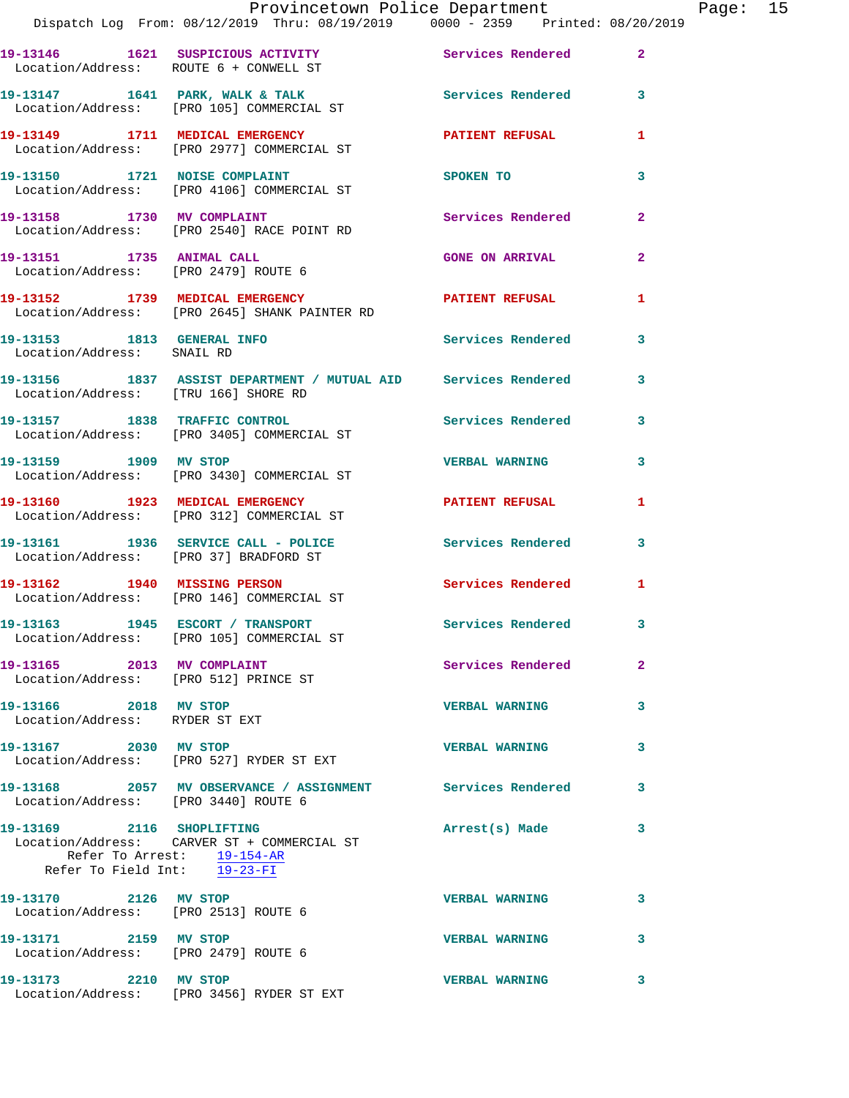|                                                                     | Provincetown Police Department<br>Dispatch Log From: 08/12/2019 Thru: 08/19/2019 0000 - 2359 Printed: 08/20/2019 |                          |                |
|---------------------------------------------------------------------|------------------------------------------------------------------------------------------------------------------|--------------------------|----------------|
|                                                                     | 19-13146 1621 SUSPICIOUS ACTIVITY 1997 Services Rendered<br>Location/Address: ROUTE 6 + CONWELL ST               |                          | $\mathbf{2}$   |
|                                                                     | 19-13147 1641 PARK, WALK & TALK<br>Location/Address: [PRO 105] COMMERCIAL ST                                     | <b>Services Rendered</b> | 3              |
|                                                                     | 19-13149 1711 MEDICAL EMERGENCY PATIENT REFUSAL<br>Location/Address: [PRO 2977] COMMERCIAL ST                    |                          | 1              |
|                                                                     | 19-13150 1721 NOISE COMPLAINT<br>Location/Address: [PRO 4106] COMMERCIAL ST                                      | SPOKEN TO                | 3              |
|                                                                     | 19-13158 1730 MV COMPLAINT<br>Location/Address: [PRO 2540] RACE POINT RD                                         | <b>Services Rendered</b> | $\mathbf{2}$   |
| 19-13151 1735 ANIMAL CALL                                           | Location/Address: [PRO 2479] ROUTE 6                                                                             | <b>GONE ON ARRIVAL</b>   | $\overline{a}$ |
|                                                                     | 19-13152 1739 MEDICAL EMERGENCY<br>Location/Address: [PRO 2645] SHANK PAINTER RD                                 | <b>PATIENT REFUSAL</b>   | 1              |
| Location/Address: SNAIL RD                                          | 19-13153 1813 GENERAL INFO                                                                                       | Services Rendered        | 3              |
| Location/Address: [TRU 166] SHORE RD                                | 19-13156 1837 ASSIST DEPARTMENT / MUTUAL AID Services Rendered                                                   |                          | 3              |
|                                                                     | 19-13157 1838 TRAFFIC CONTROL<br>Location/Address: [PRO 3405] COMMERCIAL ST                                      | Services Rendered        | 3              |
|                                                                     | 19-13159 1909 MV STOP<br>Location/Address: [PRO 3430] COMMERCIAL ST                                              | <b>VERBAL WARNING</b>    | 3              |
|                                                                     | 19-13160 1923 MEDICAL EMERGENCY<br>Location/Address: [PRO 312] COMMERCIAL ST                                     | PATIENT REFUSAL          | 1              |
|                                                                     | 19-13161 1936 SERVICE CALL - POLICE<br>Location/Address: [PRO 37] BRADFORD ST                                    | Services Rendered        | 3              |
|                                                                     | 19-13162 1940 MISSING PERSON<br>Location/Address: [PRO 146] COMMERCIAL ST                                        | <b>Services Rendered</b> | 1              |
|                                                                     | 19-13163 1945 ESCORT / TRANSPORT<br>Location/Address: [PRO 105] COMMERCIAL ST                                    | Services Rendered        | 3              |
| 19-13165 2013 MV COMPLAINT<br>Location/Address: [PRO 512] PRINCE ST |                                                                                                                  | Services Rendered        | $\overline{2}$ |
| 19-13166 2018 MV STOP<br>Location/Address: RYDER ST EXT             |                                                                                                                  | <b>VERBAL WARNING</b>    | 3              |
| 19-13167 2030 MV STOP                                               | Location/Address: [PRO 527] RYDER ST EXT                                                                         | <b>VERBAL WARNING</b>    | 3              |
| Location/Address: [PRO 3440] ROUTE 6                                | 19-13168 2057 MV OBSERVANCE / ASSIGNMENT Services Rendered                                                       |                          | 3              |
| 19-13169 2116 SHOPLIFTING<br>Refer To Field Int: 19-23-FI           | Location/Address: CARVER ST + COMMERCIAL ST<br>Refer To Arrest: 19-154-AR                                        | Arrest(s) Made           | 3              |
| 19-13170 2126 MV STOP<br>Location/Address: [PRO 2513] ROUTE 6       |                                                                                                                  | <b>VERBAL WARNING</b>    | 3              |
| 19-13171 2159 MV STOP<br>Location/Address: [PRO 2479] ROUTE 6       |                                                                                                                  | <b>VERBAL WARNING</b>    | 3              |
| 19-13173 2210 MV STOP                                               |                                                                                                                  | <b>VERBAL WARNING</b>    | 3              |

Location/Address: [PRO 3456] RYDER ST EXT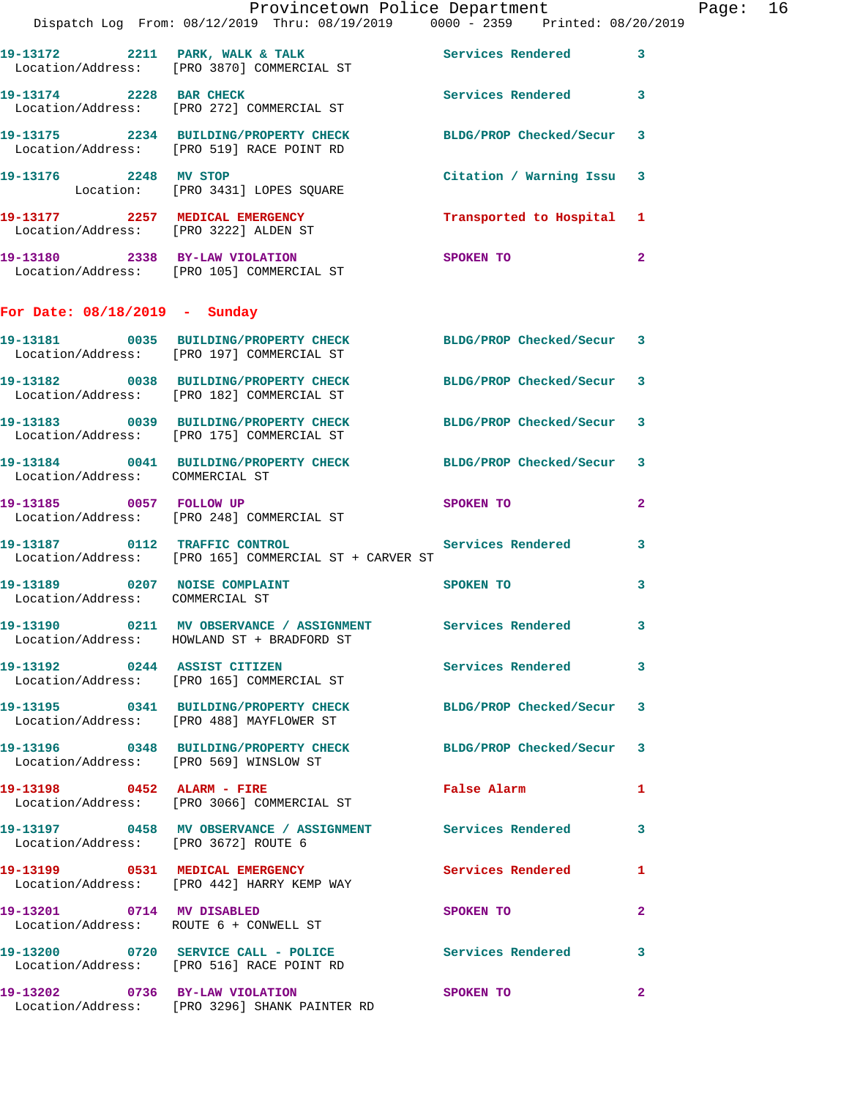|                                        | Provincetown Police Department The Rage: 16                                                                  |                                                                                                               |              |  |
|----------------------------------------|--------------------------------------------------------------------------------------------------------------|---------------------------------------------------------------------------------------------------------------|--------------|--|
|                                        | Dispatch Log From: 08/12/2019 Thru: 08/19/2019 0000 - 2359 Printed: 08/20/2019                               |                                                                                                               |              |  |
|                                        | 19-13172 2211 PARK, WALK & TALK Services Rendered 3<br>Location/Address: [PRO 3870] COMMERCIAL ST            |                                                                                                               |              |  |
|                                        | 19-13174 2228 BAR CHECK Services Rendered 3<br>Location/Address: [PRO 272] COMMERCIAL ST                     |                                                                                                               |              |  |
|                                        | 19-13175 2234 BUILDING/PROPERTY CHECK BLDG/PROP Checked/Secur 3<br>Location/Address: [PRO 519] RACE POINT RD |                                                                                                               |              |  |
|                                        | 19-13176 2248 MV STOP<br>Location: [PRO 3431] LOPES SQUARE                                                   | Citation / Warning Issu 3                                                                                     |              |  |
|                                        | 19-13177 2257 MEDICAL EMERGENCY Transported to Hospital 1<br>Location/Address: [PRO 3222] ALDEN ST           |                                                                                                               |              |  |
|                                        | 19-13180 2338 BY-LAW VIOLATION SPOKEN TO<br>Location/Address: [PRO 105] COMMERCIAL ST                        |                                                                                                               | $\mathbf{2}$ |  |
| For Date: $08/18/2019$ - Sunday        |                                                                                                              |                                                                                                               |              |  |
|                                        | 19-13181 0035 BUILDING/PROPERTY CHECK BLDG/PROP Checked/Secur 3<br>Location/Address: [PRO 197] COMMERCIAL ST |                                                                                                               |              |  |
|                                        | 19-13182 0038 BUILDING/PROPERTY CHECK BLDG/PROP Checked/Secur 3<br>Location/Address: [PRO 182] COMMERCIAL ST |                                                                                                               |              |  |
|                                        | 19-13183 0039 BUILDING/PROPERTY CHECK BLDG/PROP Checked/Secur 3<br>Location/Address: [PRO 175] COMMERCIAL ST |                                                                                                               |              |  |
| Location/Address: COMMERCIAL ST        | 19-13184 0041 BUILDING/PROPERTY CHECK BLDG/PROP Checked/Secur 3                                              |                                                                                                               |              |  |
|                                        | 19-13185 0057 FOLLOW UP<br>Location/Address: [PRO 248] COMMERCIAL ST                                         | SPOKEN TO AND THE SPOKEN TO                                                                                   | $\mathbf{2}$ |  |
|                                        | 19-13187 0112 TRAFFIC CONTROL<br>Location/Address: [PRO 165] COMMERCIAL ST + CARVER ST                       | Services Rendered 3                                                                                           |              |  |
| Location/Address: COMMERCIAL ST        | 19-13189 0207 NOISE COMPLAINT                                                                                | SPOKEN TO AND TO A REAL PROPERTY.                                                                             | $\mathbf{3}$ |  |
|                                        | 19-13190 0211 MV OBSERVANCE / ASSIGNMENT Services Rendered 3<br>Location/Address: HOWLAND ST + BRADFORD ST   |                                                                                                               |              |  |
|                                        | 19-13192 0244 ASSIST CITIZEN<br>Location/Address: [PRO 165] COMMERCIAL ST                                    | Services Rendered 3                                                                                           |              |  |
|                                        | 19-13195 0341 BUILDING/PROPERTY CHECK<br>Location/Address: [PRO 488] MAYFLOWER ST                            | BLDG/PROP Checked/Secur 3                                                                                     |              |  |
| Location/Address: [PRO 569] WINSLOW ST | 19-13196 0348 BUILDING/PROPERTY CHECK BLDG/PROP Checked/Secur 3                                              |                                                                                                               |              |  |
|                                        | 19-13198 0452 ALARM - FIRE<br>Location/Address: [PRO 3066] COMMERCIAL ST                                     | False Alarm 1                                                                                                 |              |  |
| Location/Address: [PRO 3672] ROUTE 6   | 19-13197 0458 MV OBSERVANCE / ASSIGNMENT Services Rendered 3                                                 |                                                                                                               |              |  |
|                                        | 19-13199 0531 MEDICAL EMERGENCY Services Rendered 1<br>Location/Address: [PRO 442] HARRY KEMP WAY            |                                                                                                               |              |  |
|                                        | 19-13201 0714 MV DISABLED<br>Location/Address: ROUTE 6 + CONWELL ST                                          | SPOKEN TO AND TO A STATE OF THE STATE OF THE STATE OF THE STATE OF THE STATE OF THE STATE OF THE STATE OF THE | $\mathbf{2}$ |  |
|                                        | 19-13200 0720 SERVICE CALL - POLICE Services Rendered 3<br>Location/Address: [PRO 516] RACE POINT RD         |                                                                                                               |              |  |
|                                        | 19-13202 0736 BY-LAW VIOLATION SPOKEN TO<br>Location/Address: [PRO 3296] SHANK PAINTER RD                    |                                                                                                               | $\mathbf{2}$ |  |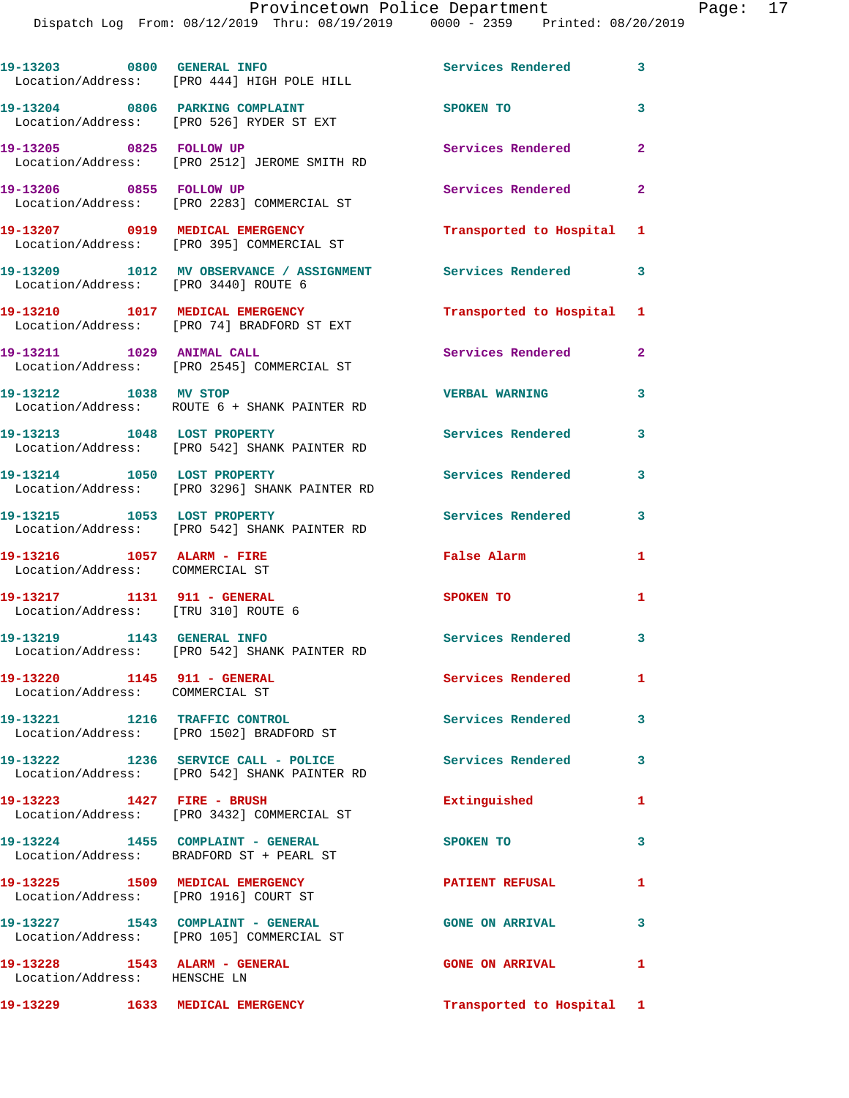|                                                                    | 19-13203 0800 GENERAL INFO<br>Location/Address: [PRO 444] HIGH POLE HILL                              | Services Rendered 3       |                |
|--------------------------------------------------------------------|-------------------------------------------------------------------------------------------------------|---------------------------|----------------|
|                                                                    | 19-13204 0806 PARKING COMPLAINT<br>Location/Address: [PRO 526] RYDER ST EXT                           | SPOKEN TO                 | 3              |
| 19-13205 0825 FOLLOW UP                                            | Location/Address: [PRO 2512] JEROME SMITH RD                                                          | Services Rendered         | $\overline{a}$ |
| 19-13206 0855 FOLLOW UP                                            | Location/Address: [PRO 2283] COMMERCIAL ST                                                            | <b>Services Rendered</b>  | $\overline{2}$ |
|                                                                    | 19-13207 0919 MEDICAL EMERGENCY<br>Location/Address: [PRO 395] COMMERCIAL ST                          | Transported to Hospital 1 |                |
| Location/Address: [PRO 3440] ROUTE 6                               | 19-13209 1012 MV OBSERVANCE / ASSIGNMENT Services Rendered 3                                          |                           |                |
|                                                                    | 19-13210 1017 MEDICAL EMERGENCY<br>Location/Address: [PRO 74] BRADFORD ST EXT                         | Transported to Hospital 1 |                |
| 19-13211 1029 ANIMAL CALL                                          | Location/Address: [PRO 2545] COMMERCIAL ST                                                            | Services Rendered         | $\mathbf{2}$   |
| 19-13212 1038 MV STOP                                              | Location/Address: ROUTE 6 + SHANK PAINTER RD                                                          | <b>VERBAL WARNING</b>     | 3              |
| 19-13213 1048 LOST PROPERTY                                        | Location/Address: [PRO 542] SHANK PAINTER RD                                                          | <b>Services Rendered</b>  | 3              |
|                                                                    | 19-13214 1050 LOST PROPERTY<br>Location/Address: [PRO 3296] SHANK PAINTER RD                          | Services Rendered         | 3              |
| 19-13215 1053 LOST PROPERTY                                        | Location/Address: [PRO 542] SHANK PAINTER RD                                                          | <b>Services Rendered</b>  | 3              |
| 19-13216 1057 ALARM - FIRE<br>Location/Address: COMMERCIAL ST      |                                                                                                       | False Alarm               | 1              |
| 19-13217 1131 911 - GENERAL<br>Location/Address: [TRU 310] ROUTE 6 |                                                                                                       | SPOKEN TO                 | 1              |
| 19-13219 1143 GENERAL INFO                                         | Location/Address: [PRO 542] SHANK PAINTER RD                                                          | Services Rendered 3       |                |
| 19-13220 1145 911 - GENERAL<br>Location/Address: COMMERCIAL ST     |                                                                                                       | Services Rendered         | $\mathbf{1}$   |
|                                                                    | 19-13221 1216 TRAFFIC CONTROL<br>Location/Address: [PRO 1502] BRADFORD ST                             | Services Rendered         | 3              |
|                                                                    | 19-13222 1236 SERVICE CALL - POLICE Services Rendered<br>Location/Address: [PRO 542] SHANK PAINTER RD |                           | 3              |
| 19-13223 1427 FIRE - BRUSH                                         | Location/Address: [PRO 3432] COMMERCIAL ST                                                            | Extinguished              | 1              |
| 19-13224 1455 COMPLAINT - GENERAL                                  | Location/Address: BRADFORD ST + PEARL ST                                                              | SPOKEN TO                 | 3              |
|                                                                    | 19-13225 1509 MEDICAL EMERGENCY<br>Location/Address: [PRO 1916] COURT ST                              | <b>PATIENT REFUSAL</b>    | 1              |
|                                                                    | 19-13227 1543 COMPLAINT - GENERAL<br>Location/Address: [PRO 105] COMMERCIAL ST                        | <b>GONE ON ARRIVAL</b>    | 3              |
| 19-13228 1543 ALARM - GENERAL<br>Location/Address: HENSCHE LN      |                                                                                                       | <b>GONE ON ARRIVAL</b>    | 1              |
| 19-13229 1633 MEDICAL EMERGENCY                                    |                                                                                                       | Transported to Hospital 1 |                |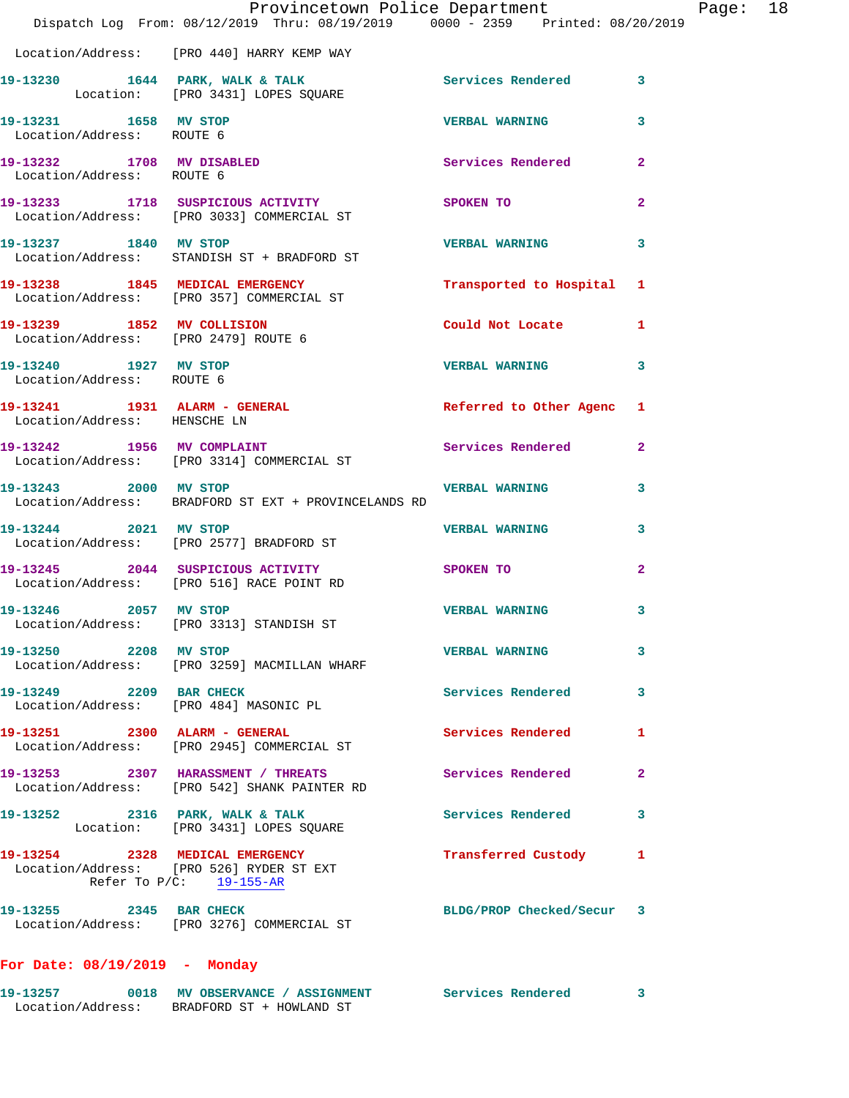|                                                    | Dispatch Log From: 08/12/2019 Thru: 08/19/2019 0000 - 2359 Printed: 08/20/2019                         | Provincetown Police Department |                         | Page: 18 |  |
|----------------------------------------------------|--------------------------------------------------------------------------------------------------------|--------------------------------|-------------------------|----------|--|
|                                                    | Location/Address: [PRO 440] HARRY KEMP WAY                                                             |                                |                         |          |  |
|                                                    | 19-13230 1644 PARK, WALK & TALK Services Rendered 3<br>Location: [PRO 3431] LOPES SQUARE               |                                |                         |          |  |
| 19-13231 1658 MV STOP<br>Location/Address: ROUTE 6 |                                                                                                        | <b>VERBAL WARNING</b>          | 3                       |          |  |
| Location/Address: ROUTE 6                          | 19-13232 1708 MV DISABLED                                                                              | Services Rendered 2            |                         |          |  |
|                                                    | 19-13233 1718 SUSPICIOUS ACTIVITY SPOKEN TO<br>Location/Address: [PRO 3033] COMMERCIAL ST              |                                | $\mathbf{2}$            |          |  |
| 19-13237 1840 MV STOP                              | Location/Address: STANDISH ST + BRADFORD ST                                                            | VERBAL WARNING 3               |                         |          |  |
|                                                    | 19-13238 1845 MEDICAL EMERGENCY Transported to Hospital 1 Location/Address: [PRO 357] COMMERCIAL ST    |                                |                         |          |  |
| Location/Address: [PRO 2479] ROUTE 6               | 19-13239 1852 MV COLLISION                                                                             | Could Not Locate 1             |                         |          |  |
| 19-13240 1927 MV STOP<br>Location/Address: ROUTE 6 |                                                                                                        | <b>VERBAL WARNING</b>          | $\overline{\mathbf{3}}$ |          |  |
| Location/Address: HENSCHE LN                       | 19-13241 1931 ALARM - GENERAL                                                                          | Referred to Other Agenc 1      |                         |          |  |
|                                                    | 19-13242 1956 MV COMPLAINT<br>Location/Address: [PRO 3314] COMMERCIAL ST                               | Services Rendered 2            |                         |          |  |
|                                                    | 19-13243 2000 MV STOP<br>Location/Address: BRADFORD ST EXT + PROVINCELANDS RD                          | <b>VERBAL WARNING</b>          | 3                       |          |  |
| 19-13244 2021 MV STOP                              | Location/Address: [PRO 2577] BRADFORD ST                                                               | <b>VERBAL WARNING</b>          | $\overline{\mathbf{3}}$ |          |  |
|                                                    | 19-13245 2044 SUSPICIOUS ACTIVITY SPOKEN TO<br>Location/Address: [PRO 516] RACE POINT RD               |                                | $\mathbf{2}$            |          |  |
| 19-13246 2057 MV STOP                              | Location/Address: [PRO 3313] STANDISH ST                                                               | VERBAL WARNING                 | 3                       |          |  |
| 19-13250 2208 MV STOP                              | Location/Address: [PRO 3259] MACMILLAN WHARF                                                           | <b>VERBAL WARNING</b>          | 3                       |          |  |
|                                                    | 19-13249 2209 BAR CHECK<br>Location/Address: [PRO 484] MASONIC PL                                      | Services Rendered              | $\mathbf{3}$            |          |  |
|                                                    | 19-13251 2300 ALARM - GENERAL<br>Location/Address: [PRO 2945] COMMERCIAL ST                            | Services Rendered              | $\mathbf{1}$            |          |  |
|                                                    | 19-13253 2307 HARASSMENT / THREATS<br>Location/Address: [PRO 542] SHANK PAINTER RD                     | Services Rendered              | $\mathbf{2}$            |          |  |
|                                                    | 19-13252 2316 PARK, WALK & TALK<br>Location: [PRO 3431] LOPES SQUARE                                   | Services Rendered              | 3                       |          |  |
|                                                    | 19-13254 2328 MEDICAL EMERGENCY<br>Location/Address: [PRO 526] RYDER ST EXT<br>Refer To P/C: 19-155-AR | Transferred Custody 1          |                         |          |  |
|                                                    | 19-13255 2345 BAR CHECK<br>Location/Address: [PRO 3276] COMMERCIAL ST                                  | BLDG/PROP Checked/Secur 3      |                         |          |  |
|                                                    |                                                                                                        |                                |                         |          |  |

**For Date: 08/19/2019 - Monday**

| 19–13257          |                          | 0018 MV OBSERVANCE / ASSIGNMENT | Services Rendered |  |
|-------------------|--------------------------|---------------------------------|-------------------|--|
| Location/Address: | BRADFORD ST + HOWLAND ST |                                 |                   |  |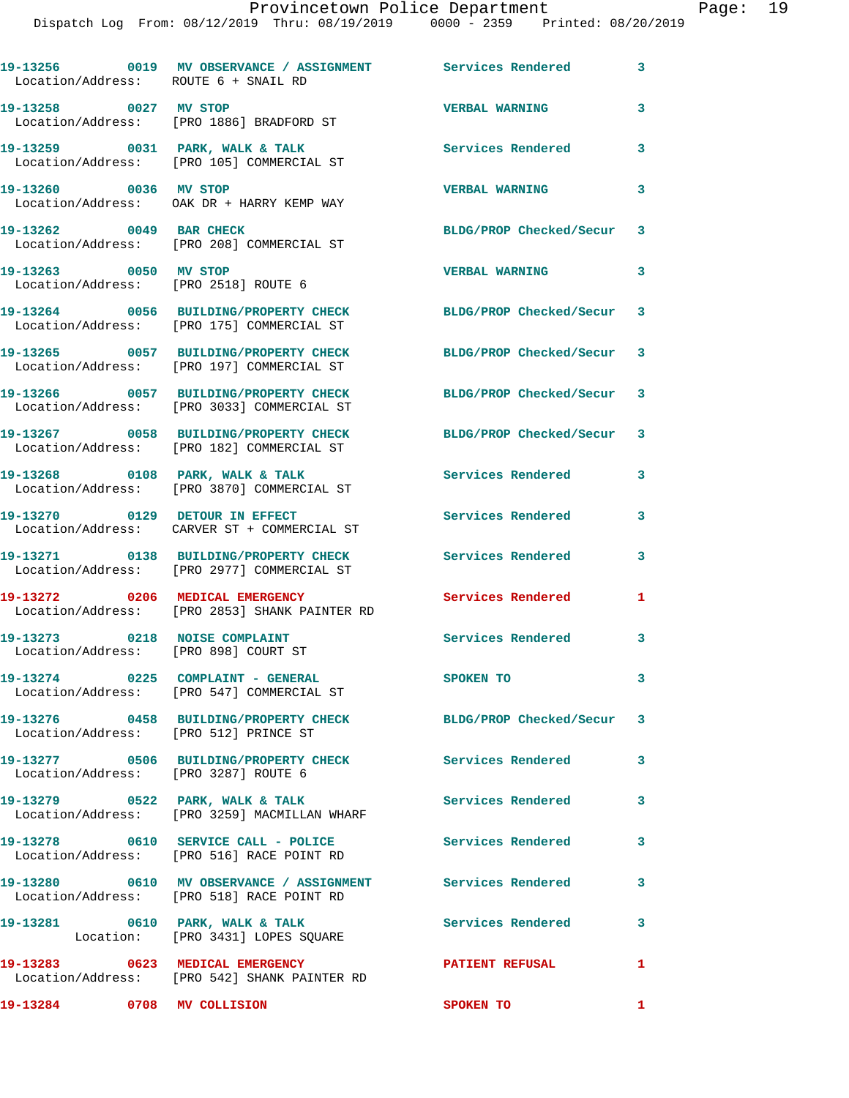| Location/Address: ROUTE 6 + SNAIL RD                                  | 19-13256 0019 MV OBSERVANCE / ASSIGNMENT Services Rendered 3                                            |                           |                            |
|-----------------------------------------------------------------------|---------------------------------------------------------------------------------------------------------|---------------------------|----------------------------|
| 19-13258 0027 MV STOP                                                 | Location/Address: [PRO 1886] BRADFORD ST                                                                | <b>VERBAL WARNING</b>     | 3                          |
|                                                                       | 19-13259 0031 PARK, WALK & TALK<br>Location/Address: [PRO 105] COMMERCIAL ST                            | <b>Services Rendered</b>  | 3                          |
| 19-13260 0036 MV STOP                                                 | Location/Address: OAK DR + HARRY KEMP WAY                                                               | <b>VERBAL WARNING</b>     | 3                          |
| 19-13262 0049 BAR CHECK                                               | Location/Address: [PRO 208] COMMERCIAL ST                                                               | BLDG/PROP Checked/Secur 3 |                            |
| 19-13263 0050 MV STOP                                                 | Location/Address: [PRO 2518] ROUTE 6                                                                    | <b>VERBAL WARNING</b>     | 3                          |
|                                                                       | 19-13264 0056 BUILDING/PROPERTY CHECK<br>Location/Address: [PRO 175] COMMERCIAL ST                      | BLDG/PROP Checked/Secur 3 |                            |
|                                                                       | 19-13265 0057 BUILDING/PROPERTY CHECK<br>Location/Address: [PRO 197] COMMERCIAL ST                      | BLDG/PROP Checked/Secur 3 |                            |
|                                                                       | 19-13266 0057 BUILDING/PROPERTY CHECK<br>Location/Address: [PRO 3033] COMMERCIAL ST                     | BLDG/PROP Checked/Secur 3 |                            |
|                                                                       | 19-13267 0058 BUILDING/PROPERTY CHECK<br>Location/Address: [PRO 182] COMMERCIAL ST                      | BLDG/PROP Checked/Secur 3 |                            |
|                                                                       | 19-13268 0108 PARK, WALK & TALK<br>Location/Address: [PRO 3870] COMMERCIAL ST                           | <b>Services Rendered</b>  | 3                          |
| 19-13270 0129 DETOUR IN EFFECT                                        | Location/Address: CARVER ST + COMMERCIAL ST                                                             | Services Rendered         | 3                          |
|                                                                       | 19-13271 0138 BUILDING/PROPERTY CHECK<br>Location/Address: [PRO 2977] COMMERCIAL ST                     | <b>Services Rendered</b>  | 3                          |
|                                                                       | 19-13272 0206 MEDICAL EMERGENCY<br>Location/Address: [PRO 2853] SHANK PAINTER RD                        | <b>Services Rendered</b>  | 1                          |
| 19-13273 0218 NOISE COMPLAINT<br>Location/Address: [PRO 898] COURT ST |                                                                                                         | Services Rendered         | $\overline{\phantom{a}}$ 3 |
|                                                                       | 19-13274 0225 COMPLAINT - GENERAL<br>Location/Address: [PRO 547] COMMERCIAL ST                          | SPOKEN TO                 | $\mathbf{3}$               |
| Location/Address: [PRO 512] PRINCE ST                                 | 19-13276 0458 BUILDING/PROPERTY CHECK BLDG/PROP Checked/Secur 3                                         |                           |                            |
| Location/Address: [PRO 3287] ROUTE 6                                  | 19-13277 0506 BUILDING/PROPERTY CHECK                                                                   | <b>Services Rendered</b>  | $\mathbf{3}$               |
|                                                                       | 19-13279 0522 PARK, WALK & TALK<br>Location/Address: [PRO 3259] MACMILLAN WHARF                         | <b>Services Rendered</b>  | 3                          |
|                                                                       | 19-13278 0610 SERVICE CALL - POLICE 3ervices Rendered<br>Location/Address: [PRO 516] RACE POINT RD      | $\sim$ 3                  |                            |
|                                                                       | 19-13280 0610 MV OBSERVANCE / ASSIGNMENT Services Rendered<br>Location/Address: [PRO 518] RACE POINT RD |                           | $\mathbf{3}$               |
|                                                                       | 19-13281 0610 PARK, WALK & TALK<br>Location: [PRO 3431] LOPES SQUARE                                    | Services Rendered 3       |                            |
|                                                                       | 19-13283 0623 MEDICAL EMERGENCY<br>Location/Address: [PRO 542] SHANK PAINTER RD                         | <b>PATIENT REFUSAL</b>    | 1                          |
| 19-13284                                                              | 0708 MV COLLISION                                                                                       | SPOKEN TO                 | $\mathbf{1}$               |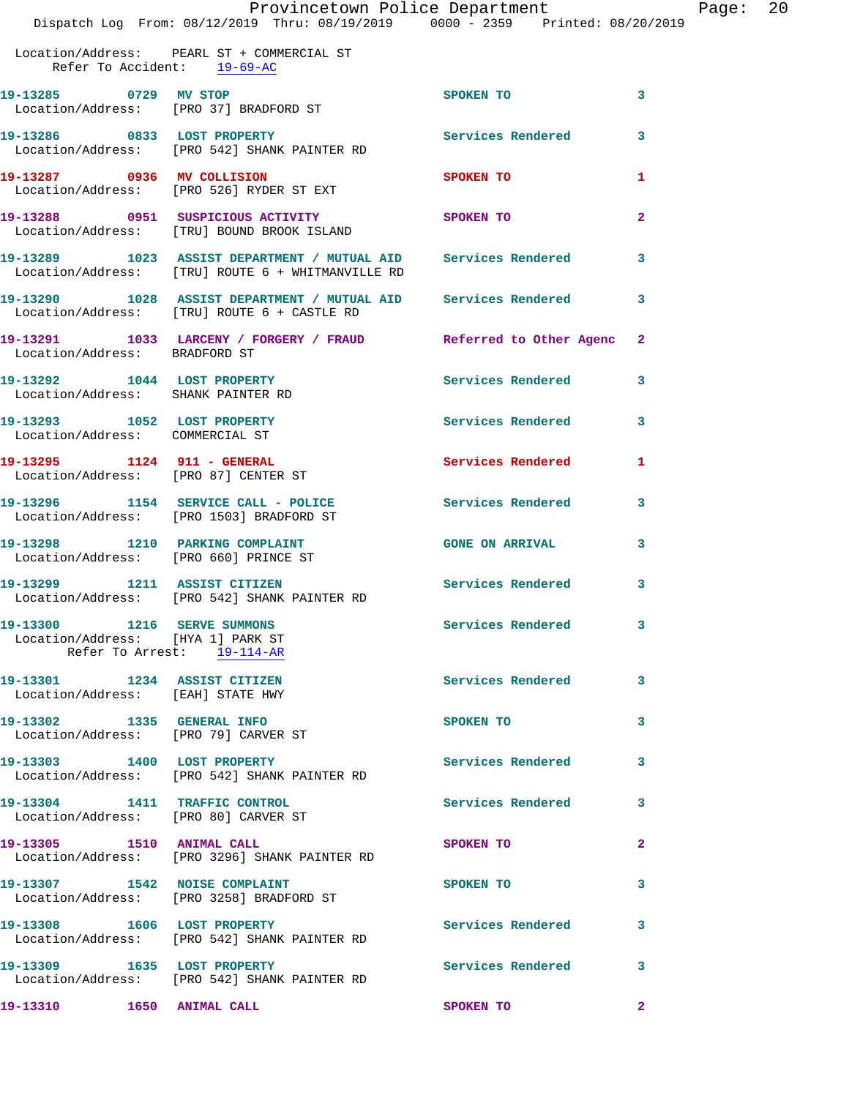|                                                                 |                                                                                                                     | Provincetown Police Department |                         | Page: $20$ |  |
|-----------------------------------------------------------------|---------------------------------------------------------------------------------------------------------------------|--------------------------------|-------------------------|------------|--|
|                                                                 | Dispatch Log From: 08/12/2019 Thru: 08/19/2019 0000 - 2359 Printed: 08/20/2019                                      |                                |                         |            |  |
| Refer To Accident: 19-69-AC                                     | Location/Address: PEARL ST + COMMERCIAL ST                                                                          |                                |                         |            |  |
| 19-13285 0729 MV STOP<br>Location/Address: [PRO 37] BRADFORD ST |                                                                                                                     | SPOKEN TO                      | $\overline{\mathbf{3}}$ |            |  |
|                                                                 | 19-13286 0833 LOST PROPERTY Services Rendered<br>Location/Address: [PRO 542] SHANK PAINTER RD                       |                                | $\overline{\mathbf{3}}$ |            |  |
|                                                                 | 19-13287 0936 MV COLLISION<br>Location/Address: [PRO 526] RYDER ST EXT                                              | SPOKEN TO                      | 1                       |            |  |
|                                                                 | 19-13288 0951 SUSPICIOUS ACTIVITY SPOKEN TO<br>Location/Address: [TRU] BOUND BROOK ISLAND                           |                                | $\mathbf{2}$            |            |  |
|                                                                 | 19-13289 1023 ASSIST DEPARTMENT / MUTUAL AID Services Rendered<br>Location/Address: [TRU] ROUTE 6 + WHITMANVILLE RD |                                | $\overline{\mathbf{3}}$ |            |  |
|                                                                 | 19-13290 1028 ASSIST DEPARTMENT / MUTUAL AID Services Rendered 3<br>Location/Address: [TRU] ROUTE 6 + CASTLE RD     |                                |                         |            |  |
| Location/Address: BRADFORD ST                                   | 19-13291 1033 LARCENY / FORGERY / FRAUD Referred to Other Agenc 2                                                   |                                |                         |            |  |
|                                                                 | 19-13292 1044 LOST PROPERTY                                                                                         | <b>Services Rendered</b>       | 3                       |            |  |

 Location/Address: SHANK PAINTER RD **19-13293 1052 LOST PROPERTY Services Rendered 3**  Location/Address: COMMERCIAL ST 19-13295 1124 911 - GENERAL **Services Rendered** 1 Location/Address: [PRO 87] CENTER ST **19-13296 1154 SERVICE CALL - POLICE Services Rendered 3**  Location/Address: [PRO 1503] BRADFORD ST **19-13298 1210 PARKING COMPLAINT GONE ON ARRIVAL 3**  Location/Address: [PRO 660] PRINCE ST **19-13299 1211 ASSIST CITIZEN Services Rendered 3**  Location/Address: [PRO 542] SHANK PAINTER RD **19-13300 1216 SERVE SUMMONS Services Rendered 3**  Location/Address: [HYA 1] PARK ST Refer To Arrest: 19-114-AR **19-13301 1234 ASSIST CITIZEN Services Rendered 3**  Location/Address: [EAH] STATE HWY **19-13302 1335 GENERAL INFO SPOKEN TO 3**  Location/Address: [PRO 79] CARVER ST

19-13303 1400 LOST PROPERTY **19-13303** Services Rendered 3 Location/Address: [PRO 542] SHANK PAINTER RD

Location/Address: [PRO 80] CARVER ST

**19-13305 1510 ANIMAL CALL SPOKEN TO 2**  Location/Address: [PRO 3296] SHANK PAINTER RD

**19-13307 1542 NOISE COMPLAINT SPOKEN TO 3**  Location/Address: [PRO 3258] BRADFORD ST

**19-13308 1606 LOST PROPERTY Services Rendered 3**  Location/Address: [PRO 542] SHANK PAINTER RD

**19-13304 1411 TRAFFIC CONTROL Services Rendered 3** 

**19-13309 1635 LOST PROPERTY Services Rendered 3**  Location/Address: [PRO 542] SHANK PAINTER RD

**19-13310 1650 ANIMAL CALL SPOKEN TO 2**